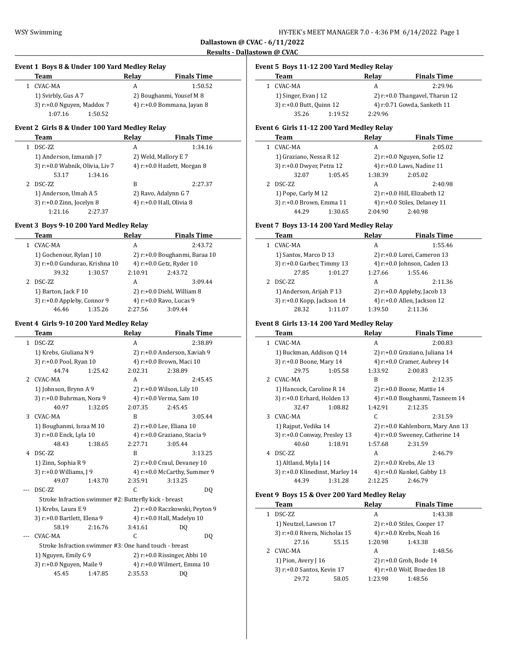$\overline{\phantom{a}}$ 

 $\frac{1}{2}$ 

# **Event 1 Boys 8 & Under 100 Yard Medley Relay Team Relay Finals Time** 1 CVAC-MA A 1:50.52

| 1) Svirbly, Gus A 7              |         | 2) Boughanmi, Yousef M 8      |
|----------------------------------|---------|-------------------------------|
| $3$ ) r: $+0.0$ Nguyen, Maddox 7 |         | 4) $r: +0.0$ Bommana, Jayan 8 |
| 1:07.16                          | 1:50.52 |                               |

### **Event 2 Girls 8 & Under 100 Yard Medley Relay**

| Team                            | Relay | <b>Finals Time</b>          |
|---------------------------------|-------|-----------------------------|
| DSC-ZZ                          | A     | 1:34.16                     |
| 1) Anderson, Izmarah J 7        |       | 2) Weld, Mallory E 7        |
| 3) r:+0.0 Wabnik, Olivia, Liv 7 |       | 4) r:+0.0 Hazlett, Morgan 8 |
| 53.17<br>1:34.16                |       |                             |
| DSC-ZZ                          | B     | 2:27.37                     |
| 1) Anderson, Umah A 5           |       | 2) Ravo, Adalynn G 7        |
| 3) r:+0.0 Zinn, Jocelyn 8       |       | 4) r:+0.0 Hall, Olivia 8    |
| 1:21.16<br>2:27.37              |       |                             |

#### **Event 3 Boys 9-10 200 Yard Medley Relay**

|  | Team                                                |         | Relav                         | <b>Finals Time</b>           |  |
|--|-----------------------------------------------------|---------|-------------------------------|------------------------------|--|
|  | CVAC-MA                                             |         | A                             | 2:43.72                      |  |
|  | 1) Gochenour, Rylan J 10                            |         | 2) r:+0.0 Boughanmi, Baraa 10 |                              |  |
|  | 3) r:+0.0 Gundurao, Krishna 10                      |         | 4) r:+0.0 Getz, Ryder 10      |                              |  |
|  | 39.32                                               | 1:30.57 | 2:10.91                       | 2:43.72                      |  |
|  | DSC-ZZ                                              |         | A                             | 3:09.44                      |  |
|  | 1) Barton, Jack F 10<br>3) r:+0.0 Appleby, Connor 9 |         |                               | $2)$ r:+0.0 Diehl, William 8 |  |
|  |                                                     |         |                               | 4) r:+0.0 Ravo, Lucas 9      |  |
|  | 46.46                                               | 1:35.26 | 2:27.56                       | 3:09.44                      |  |

### **Event 4 Girls 9-10 200 Yard Medley Relay**

|                | Team                                                  |         | Relay                    | <b>Finals Time</b>               |  |
|----------------|-------------------------------------------------------|---------|--------------------------|----------------------------------|--|
| $\mathbf{1}$   | DSC-ZZ                                                |         | A                        | 2:38.89                          |  |
|                | 1) Krebs, Giuliana N 9                                |         |                          | 2) r:+0.0 Anderson, Xaviah 9     |  |
|                | 3) r:+0.0 Pool, Ryan 10                               |         | 4) r:+0.0 Brown, Maci 10 |                                  |  |
|                | 44.74                                                 | 1:25.42 | 2:02.31                  | 2:38.89                          |  |
| $\overline{2}$ | CVAC-MA                                               |         | A                        | 2:45.45                          |  |
|                | 1) Johnson, Brynn A 9                                 |         |                          | 2) r:+0.0 Wilson, Lily 10        |  |
|                | 3) r:+0.0 Buhrman, Nora 9                             |         |                          | 4) r:+0.0 Verma, Sam 10          |  |
|                | 40.97                                                 | 1:32.05 | 2:07.35                  | 2:45.45                          |  |
| 3              | CVAC-MA                                               |         | R                        | 3:05.44                          |  |
|                | 1) Boughanmi, Israa M 10                              |         |                          | 2) r:+0.0 Lee, Eliana 10         |  |
|                | 3) r:+0.0 Enck, Lyla 10                               |         |                          | 4) r:+0.0 Graziano, Stacia 9     |  |
|                | 48.43                                                 | 1:38.65 | 2:27.71                  | 3:05.44                          |  |
| 4              | <b>DSC-7.7</b>                                        |         | R                        | 3:13.25                          |  |
|                | 1) Zinn, Sophia R 9                                   |         |                          | $2)$ r: $+0.0$ Craul, Devaney 10 |  |
|                | 3) r:+0.0 Williams, J 9                               |         |                          | 4) r:+0.0 McCarthy, Summer 9     |  |
|                | 49.07                                                 | 1:43.70 | 2:35.91                  | 3:13.25                          |  |
|                | DSC-ZZ                                                |         | C                        | DQ                               |  |
|                | Stroke Infraction swimmer #2: Butterfly kick - breast |         |                          |                                  |  |
|                | 1) Krebs, Laura E 9                                   |         |                          | 2) r:+0.0 Raczkowski, Peyton 9   |  |
|                | 3) r:+0.0 Bartlett, Elena 9                           |         |                          | 4) r:+0.0 Hall, Madelyn 10       |  |
|                | 58.19                                                 | 2:16.76 | 3:41.61                  | DO                               |  |
|                | CVAC-MA                                               |         | C                        | DO.                              |  |
|                | Stroke Infraction swimmer #3: One hand touch - breast |         |                          |                                  |  |
|                | 1) Nguyen, Emily G 9                                  |         |                          | $2)$ r:+0.0 Rissinger, Abbi 10   |  |
|                | 3) r:+0.0 Nguyen, Maile 9                             |         |                          | 4) r:+0.0 Wilmert, Emma 10       |  |
|                | 45.45                                                 | 1:47.85 | 2:35.53                  | DQ                               |  |
|                |                                                       |         |                          |                                  |  |

## **Event 5 Boys 11-12 200 Yard Medley Relay**

| Team                     |         | Relav                             | <b>Finals Time</b> |  |
|--------------------------|---------|-----------------------------------|--------------------|--|
| CVAC-MA                  |         | А                                 | 2:29.96            |  |
| 1) Singer, Evan J 12     |         | 2) $r: +0.0$ Thangavel, Tharun 12 |                    |  |
| 3) r:+0.0 Butt, Quinn 12 |         | 4) r:0.71 Gowda, Sanketh 11       |                    |  |
| 35.26                    | 1:19.52 | 2.29.96                           |                    |  |

# **Event 6 Girls 11-12 200 Yard Medley Relay**

| Team                      |         | Relav                     | <b>Finals Time</b>             |  |
|---------------------------|---------|---------------------------|--------------------------------|--|
| CVAC-MA                   |         | A                         | 2:05.02                        |  |
| 1) Graziano, Nessa R 12   |         |                           | 2) r:+0.0 Nguyen, Sofie 12     |  |
| 3) r:+0.0 Dwyer, Petra 12 |         | 4) r:+0.0 Laws, Nadine 11 |                                |  |
| 32.07                     | 1:05.45 | 1:38.39                   | 2:05.02                        |  |
| DSC-ZZ                    |         | A                         | 2:40.98                        |  |
| 1) Pope, Carly M 12       |         |                           | $2)$ r:+0.0 Hill, Elizabeth 12 |  |
| 3) r:+0.0 Brown, Emma 11  |         |                           | 4) r:+0.0 Stiles, Delaney 11   |  |
| 44.29                     | 1:30.65 | 2:04.90                   | 2:40.98                        |  |

### **Event 7 Boys 13-14 200 Yard Medley Relay**

| Team                             |         | Relav                       | <b>Finals Time</b>             |  |
|----------------------------------|---------|-----------------------------|--------------------------------|--|
| CVAC-MA                          |         | А                           | 1:55.46                        |  |
| 1) Santos, Marco D 13            |         |                             | 2) r:+0.0 Lorei, Cameron 13    |  |
| 3) $r: +0.0$ Garber, Timmy 13    |         | 4) r:+0.0 Johnson, Caden 13 |                                |  |
| 27.85                            | 1:01.27 | 1:27.66                     | 1:55.46                        |  |
| DSC-ZZ                           |         | А                           | 2:11.36                        |  |
| 1) Anderson, Arijah P 13         |         |                             | 2) $r: +0.0$ Appleby, Jacob 13 |  |
| $3$ ) r: $+0.0$ Kopp, Jackson 14 |         |                             | 4) $r: +0.0$ Allen, Jackson 12 |  |
| 28.32                            | 1:11.07 | 1:39.50                     | 2:11.36                        |  |

## **Event 8 Girls 13-14 200 Yard Medley Relay**

|    | Team                            |         | Relay                       | <b>Finals Time</b>                |
|----|---------------------------------|---------|-----------------------------|-----------------------------------|
| 1. | CVAC-MA                         |         | A                           | 2:00.83                           |
|    | 1) Buckman, Addison Q 14        |         |                             | 2) r:+0.0 Graziano, Juliana 14    |
|    | 3) r:+0.0 Boone, Mary 14        |         | 4) r:+0.0 Cramer, Aubrey 14 |                                   |
|    | 29.75                           | 1:05.58 | 1:33.92                     | 2:00.83                           |
| 2  | CVAC-MA                         |         | R                           | 2:12.35                           |
|    | 1) Hancock, Caroline R 14       |         |                             | 2) r:+0.0 Boone, Mattie 14        |
|    | 3) r:+0.0 Erhard, Holden 13     |         |                             | 4) r:+0.0 Boughanmi, Tasneem 14   |
|    | 32.47                           | 1:08.82 | 1:42.91                     | 2:12.35                           |
| 3  | CVAC-MA                         |         | C                           | 2:31.59                           |
|    | 1) Rajput, Vedika 14            |         |                             | 2) r:+0.0 Kahlenborn, Mary Ann 13 |
|    | 3) r:+0.0 Conway, Presley 13    |         |                             | 4) r:+0.0 Sweeney, Catherine 14   |
|    | 40.60                           | 1:18.91 | 1:57.68                     | 2:31.59                           |
| 4  | DSC-ZZ                          |         | A                           | 2:46.79                           |
|    | 1) Altland, Myla J 14           |         |                             | 2) r:+0.0 Krebs, Ale 13           |
|    | 3) r:+0.0 Klinedinst, Marley 14 |         |                             | 4) r:+0.0 Kunkel, Gabby 13        |
|    | 44.39                           | 1:31.28 | 2:12.25                     | 2:46.79                           |
|    |                                 |         |                             |                                   |

### **Event 9 Boys 15 & Over 200 Yard Medley Relay**

| Team                          |       | Relav   | <b>Finals Time</b>            |
|-------------------------------|-------|---------|-------------------------------|
| DSC-ZZ                        |       | А       | 1:43.38                       |
| 1) Neutzel, Lawson 17         |       |         | $2)$ r:+0.0 Stiles, Cooper 17 |
| 3) r:+0.0 Rivera, Nicholas 15 |       |         | 4) r:+0.0 Krebs, Noah 16      |
| 27.16                         | 55.15 | 1:20.98 | 1:43.38                       |
| CVAC-MA                       |       | А       | 1:48.56                       |
| 1) Pion, Avery J 16           |       |         | 2) r:+0.0 Groh, Bode 14       |
| 3) r:+0.0 Santos, Kevin 17    |       |         | 4) r:+0.0 Wolf, Braeden 18    |
| 29.72                         | 58.05 | 1:23.98 | 1:48.56                       |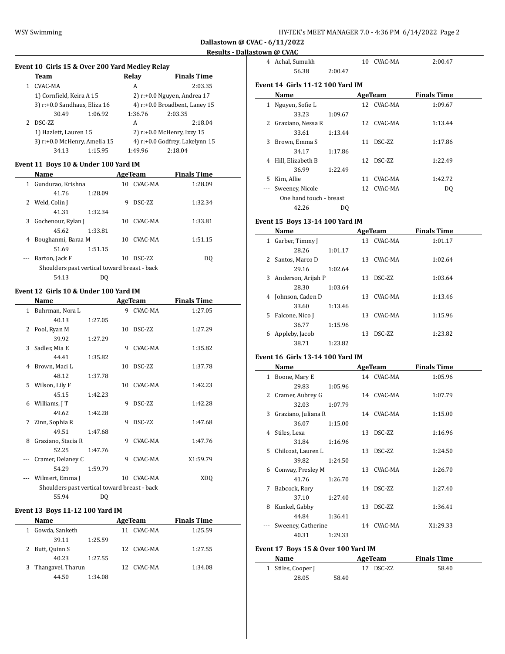| HY-TEK's MEET MANAGER 7.0 - 4:36 PM  6/14/2022  Page 2 |  |  |
|--------------------------------------------------------|--|--|
|--------------------------------------------------------|--|--|

### **Results - Dallastown @ CVAC**

 $\sim$ 

### **Event 10 Girls 15 & Over 200 Yard Medley Relay**

| Team                         |         | Relav                            | <b>Finals Time</b>             |  |
|------------------------------|---------|----------------------------------|--------------------------------|--|
| CVAC-MA                      |         | A                                | 2:03.35                        |  |
| 1) Cornfield, Keira A 15     |         | 2) $r.+0.0$ Nguyen, Andrea 17    |                                |  |
| 3) r:+0.0 Sandhaus, Eliza 16 |         | 4) $r: +0.0$ Broadbent, Laney 15 |                                |  |
| 30.49                        | 1:06.92 | 1:36.76                          | 2:03.35                        |  |
| DSC-ZZ                       |         | A                                | 2:18.04                        |  |
| 1) Hazlett, Lauren 15        |         |                                  | 2) $r: +0.0$ McHenry, Izzy 15  |  |
| 3) r:+0.0 McHenry, Amelia 15 |         |                                  | 4) r:+0.0 Godfrey, Lakelynn 15 |  |
| 34.13                        | 1:15.95 | 1:49.96                          | 2:18.04                        |  |

#### **Event 11 Boys 10 & Under 100 Yard IM**

|   | Name                                         |         |    | AgeTeam       | <b>Finals Time</b> |  |
|---|----------------------------------------------|---------|----|---------------|--------------------|--|
| 1 | Gundurao, Krishna                            |         | 10 | CVAC-MA       | 1:28.09            |  |
|   | 41.76                                        | 1:28.09 |    |               |                    |  |
|   | 2 Weld, Colin J                              |         | 9  | <b>DSC-ZZ</b> | 1:32.34            |  |
|   | 41.31                                        | 1:32.34 |    |               |                    |  |
| 3 | Gochenour, Rylan J                           |         | 10 | CVAC-MA       | 1:33.81            |  |
|   | 45.62                                        | 1:33.81 |    |               |                    |  |
| 4 | Boughanmi, Baraa M                           |         | 10 | CVAC-MA       | 1:51.15            |  |
|   | 51.69                                        | 1:51.15 |    |               |                    |  |
|   | Barton, Jack F                               |         | 10 | DSC-ZZ        | DO.                |  |
|   | Shoulders past vertical toward breast - back |         |    |               |                    |  |
|   | 54.13                                        | DO      |    |               |                    |  |

### **Event 12 Girls 10 & Under 100 Yard IM**

|    | Name                                         |         |    | AgeTeam         | <b>Finals Time</b> |
|----|----------------------------------------------|---------|----|-----------------|--------------------|
|    | 1 Buhrman, Nora L                            |         | 9  | CVAC-MA         | 1:27.05            |
|    | 40.13                                        | 1:27.05 |    |                 |                    |
| 2  | Pool, Ryan M                                 |         | 10 | DSC-7.7.        | 1:27.29            |
|    | 39.92                                        | 1:27.29 |    |                 |                    |
| 3  | Sadler, Mia E                                |         | 9  | CVAC-MA         | 1:35.82            |
|    | 44.41                                        | 1:35.82 |    |                 |                    |
| 4  | Brown, Maci L                                |         | 10 | DSC-ZZ          | 1:37.78            |
|    | 48.12                                        | 1:37.78 |    |                 |                    |
| 5. | Wilson, Lily F                               |         |    | 10 CVAC-MA      | 1:42.23            |
|    | 45.15                                        | 1:42.23 |    |                 |                    |
| 6. | Williams, J T                                |         | 9  | <b>DSC-7.7.</b> | 1:42.28            |
|    | 49.62                                        | 1:42.28 |    |                 |                    |
| 7  | Zinn, Sophia R                               |         | 9  | DSC-ZZ          | 1:47.68            |
|    | 49.51                                        | 1:47.68 |    |                 |                    |
| 8  | Graziano, Stacia R                           |         | 9  | CVAC-MA         | 1:47.76            |
|    | 52.25                                        | 1:47.76 |    |                 |                    |
|    | Cramer, Delaney C                            |         | 9  | CVAC-MA         | X1:59.79           |
|    | 54.29                                        | 1:59.79 |    |                 |                    |
|    | Wilmert, Emma J                              |         | 10 | CVAC-MA         | XDQ                |
|    | Shoulders past vertical toward breast - back |         |    |                 |                    |
|    | 55.94                                        | DQ      |    |                 |                    |

### **Event 13 Boys 11-12 100 Yard IM**

|   | Name                |         |    | AgeTeam    | <b>Finals Time</b> |  |
|---|---------------------|---------|----|------------|--------------------|--|
| 1 | Gowda, Sanketh      |         | 11 | CVAC-MA    | 1:25.59            |  |
|   | 39.11               | 1:25.59 |    |            |                    |  |
|   | 2 Butt, Quinn S     |         |    | 12 CVAC-MA | 1:27.55            |  |
|   | 40.23               | 1:27.55 |    |            |                    |  |
|   | 3 Thangavel, Tharun |         |    | 12 CVAC-MA | 1:34.08            |  |
|   | 44.50               | 1:34.08 |    |            |                    |  |

| 4        | Achal, Sumukh                           |         |    | 10 CVAC-MA | 2:00.47            |  |
|----------|-----------------------------------------|---------|----|------------|--------------------|--|
|          | 56.38                                   | 2:00.47 |    |            |                    |  |
|          | <b>Event 14 Girls 11-12 100 Yard IM</b> |         |    |            |                    |  |
|          | Name                                    |         |    | AgeTeam    | <b>Finals Time</b> |  |
| 1        | Nguyen, Sofie L                         |         |    | 12 CVAC-MA | 1:09.67            |  |
|          | 33.23                                   | 1:09.67 |    |            |                    |  |
|          | 2 Graziano, Nessa R                     |         |    | 12 CVAC-MA | 1:13.44            |  |
|          | 33.61                                   | 1:13.44 |    |            |                    |  |
| 3        | Brown, Emma S                           |         | 11 | DSC-ZZ     | 1:17.86            |  |
|          | 34.17                                   | 1:17.86 |    |            |                    |  |
| 4        | Hill, Elizabeth B                       |         |    | 12 DSC-ZZ  | 1:22.49            |  |
|          | 36.99                                   | 1:22.49 |    |            |                    |  |
| 5.       | Kim, Allie                              |         | 11 | CVAC-MA    | 1:42.72            |  |
| $\cdots$ | Sweeney, Nicole                         |         |    | 12 CVAC-MA | DO.                |  |
|          | One hand touch - breast                 |         |    |            |                    |  |
|          | 42.26                                   | DO      |    |            |                    |  |

### **Event 15 Boys 13-14 100 Yard IM**

|    | Name               |         |    | AgeTeam         | <b>Finals Time</b> |  |
|----|--------------------|---------|----|-----------------|--------------------|--|
| 1  | Garber, Timmy J    |         |    | 13 CVAC-MA      | 1:01.17            |  |
|    | 28.26              | 1:01.17 |    |                 |                    |  |
| 2  | Santos, Marco D    |         | 13 | CVAC-MA         | 1:02.64            |  |
|    | 29.16              | 1:02.64 |    |                 |                    |  |
| 3  | Anderson, Arijah P |         | 13 | <b>DSC-7.7.</b> | 1:03.64            |  |
|    | 28.30              | 1:03.64 |    |                 |                    |  |
| 4  | Johnson, Caden D   |         | 13 | CVAC-MA         | 1:13.46            |  |
|    | 33.60              | 1:13.46 |    |                 |                    |  |
| 5. | Falcone, Nico I    |         | 13 | CVAC-MA         | 1:15.96            |  |
|    | 36.77              | 1:15.96 |    |                 |                    |  |
| 6  | Appleby, Jacob     |         | 13 | DSC-ZZ          | 1:23.82            |  |
|    | 38.71              | 1:23.82 |    |                 |                    |  |

#### **Event 16 Girls 13-14 100 Yard IM**

|              | Name                  |         |    | AgeTeam    | <b>Finals Time</b> |  |
|--------------|-----------------------|---------|----|------------|--------------------|--|
| $\mathbf{1}$ | Boone, Mary E         |         |    | 14 CVAC-MA | 1:05.96            |  |
|              | 29.83                 | 1:05.96 |    |            |                    |  |
|              | 2 Cramer, Aubrey G    |         |    | 14 CVAC-MA | 1:07.79            |  |
|              | 32.03                 | 1:07.79 |    |            |                    |  |
|              | 3 Graziano, Juliana R |         |    | 14 CVAC-MA | 1:15.00            |  |
|              | 36.07                 | 1:15.00 |    |            |                    |  |
|              | 4 Stiles, Lexa        |         | 13 | DSC-ZZ     | 1:16.96            |  |
|              | 31.84                 | 1:16.96 |    |            |                    |  |
|              | 5 Chilcoat, Lauren L  |         | 13 | DSC-ZZ     | 1:24.50            |  |
|              | 39.82                 | 1:24.50 |    |            |                    |  |
|              | 6 Conway, Presley M   |         |    | 13 CVAC-MA | 1:26.70            |  |
|              | 41.76                 | 1:26.70 |    |            |                    |  |
| 7            | Babcock, Rory         |         |    | 14 DSC-ZZ  | 1:27.40            |  |
|              | 37.10                 | 1:27.40 |    |            |                    |  |
| 8            | Kunkel, Gabby         |         | 13 | DSC-ZZ     | 1:36.41            |  |
|              | 44.84                 | 1:36.41 |    |            |                    |  |
|              | Sweeney, Catherine    |         |    | 14 CVAC-MA | X1:29.33           |  |
|              | 40.31                 | 1:29.33 |    |            |                    |  |

### **Event 17 Boys 15 & Over 100 Yard IM**

| Name               |       | AgeTeam |           | <b>Finals Time</b> |
|--------------------|-------|---------|-----------|--------------------|
| 1 Stiles, Cooper J |       |         | 17 DSC-ZZ | 58.40              |
| 28.05              | 58.40 |         |           |                    |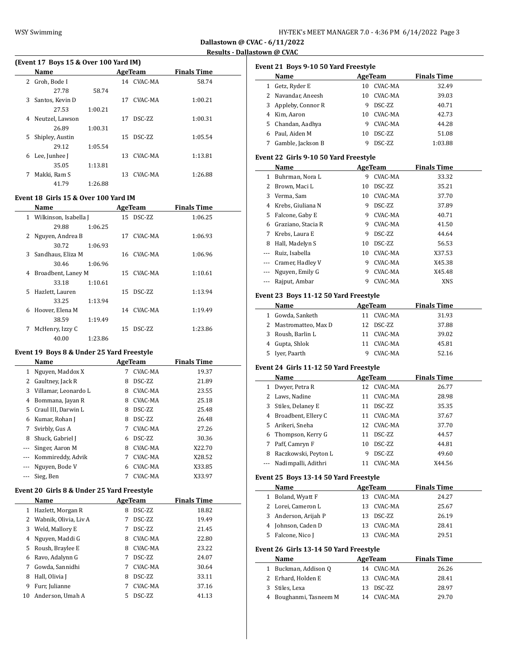## **Results - Dallastown @ CVAC**

|   | (Event 17 Boys 15 & Over 100 Yard IM) |         |     |               |                    |  |
|---|---------------------------------------|---------|-----|---------------|--------------------|--|
|   | Name                                  |         |     | AgeTeam       | <b>Finals Time</b> |  |
| 2 | Groh, Bode I                          |         |     | 14 CVAC-MA    | 58.74              |  |
|   | 27.78                                 | 58.74   |     |               |                    |  |
| 3 | Santos, Kevin D                       |         |     | 17 CVAC-MA    | 1:00.21            |  |
|   | 27.53                                 | 1:00.21 |     |               |                    |  |
| 4 | Neutzel, Lawson                       |         | 17  | <b>DSC-ZZ</b> | 1:00.31            |  |
|   | 26.89                                 | 1:00.31 |     |               |                    |  |
| 5 | Shipley, Austin                       |         | 15  | <b>DSC-ZZ</b> | 1:05.54            |  |
|   | 29.12                                 | 1:05.54 |     |               |                    |  |
| 6 | Lee, Junhee J                         |         | 13. | CVAC-MA       | 1:13.81            |  |
|   | 35.05                                 | 1:13.81 |     |               |                    |  |
| 7 | Makki, Ram S                          |         | 13  | CVAC-MA       | 1:26.88            |  |
|   | 41.79                                 | 1:26.88 |     |               |                    |  |

#### **Event 18 Girls 15 & Over 100 Yard IM**

|    | Name                    |         |    | AgeTeam    | <b>Finals Time</b> |
|----|-------------------------|---------|----|------------|--------------------|
|    | 1 Wilkinson, Isabella J |         |    | 15 DSC-ZZ  | 1:06.25            |
|    | 29.88                   | 1:06.25 |    |            |                    |
|    | 2 Nguyen, Andrea B      |         | 17 | CVAC-MA    | 1:06.93            |
|    | 30.72                   | 1:06.93 |    |            |                    |
| 3  | Sandhaus, Eliza M       |         |    | 16 CVAC-MA | 1:06.96            |
|    | 30.46                   | 1:06.96 |    |            |                    |
| 4  | Broadbent, Laney M      |         |    | 15 CVAC-MA | 1:10.61            |
|    | 33.18                   | 1:10.61 |    |            |                    |
| 5. | Hazlett, Lauren         |         |    | 15 DSC-ZZ  | 1:13.94            |
|    | 33.25                   | 1:13.94 |    |            |                    |
| 6  | Hoover, Elena M         |         |    | 14 CVAC-MA | 1:19.49            |
|    | 38.59                   | 1:19.49 |    |            |                    |
| 7  | McHenry, Izzy C         |         |    | 15 DSC-ZZ  | 1:23.86            |
|    | 40.00                   | 1:23.86 |    |            |                    |

### **Event 19 Boys 8 & Under 25 Yard Freestyle**

|          | Name                 |   | AgeTeam        | <b>Finals Time</b> |  |
|----------|----------------------|---|----------------|--------------------|--|
| 1        | Nguyen, Maddox X     | 7 | CVAC-MA        | 19.37              |  |
| 2        | Gaultney, Jack R     | 8 | DSC-ZZ         | 21.89              |  |
| 3        | Villamar, Leonardo L | 8 | CVAC-MA        | 23.55              |  |
| 4        | Bommana, Jayan R     | 8 | CVAC-MA        | 25.18              |  |
| 5.       | Craul III, Darwin L  | 8 | DSC-ZZ         | 25.48              |  |
| 6        | Kumar, Rohan J       | 8 | DSC-ZZ         | 26.48              |  |
| 7        | Svirbly, Gus A       | 7 | CVAC-MA        | 27.26              |  |
| 8        | Shuck, Gabriel J     | 6 | DSC-ZZ         | 30.36              |  |
| $\cdots$ | Singer, Aaron M      | 8 | CVAC-MA        | X22.70             |  |
| $\cdots$ | Kommireddy, Advik    | 7 | CVAC-MA        | X28.52             |  |
|          | Nguyen, Bode V       | 6 | CVAC-MA        | X33.85             |  |
|          | Sieg, Ben            |   | <b>CVAC-MA</b> | X33.97             |  |

## **Event 20 Girls 8 & Under 25 Yard Freestyle**

|    | <b>Name</b>           |   | AgeTeam         | <b>Finals Time</b> |
|----|-----------------------|---|-----------------|--------------------|
| 1  | Hazlett, Morgan R     | 8 | <b>DSC-ZZ</b>   | 18.82              |
| 2  | Wabnik, Olivia, Liv A |   | DSC-ZZ          | 19.49              |
| 3  | Weld, Mallory E       |   | DSC-ZZ          | 21.45              |
| 4  | Nguyen, Maddi G       | 8 | CVAC-MA         | 22.80              |
| 5  | Roush, Braylee E      | 8 | CVAC-MA         | 23.22              |
| 6  | Ravo, Adalynn G       |   | <b>DSC-7.7.</b> | 24.07              |
| 7  | Gowda, Sannidhi       |   | CVAC-MA         | 30.64              |
| 8  | Hall, Olivia J        | 8 | <b>DSC-ZZ</b>   | 33.11              |
| 9  | Furr, Julianne        |   | CVAC-MA         | 37.16              |
| 10 | Anderson, Umah A      |   | <b>DSC-ZZ</b>   | 41.13              |

|                                         |                                                                                                                                                                                                                                                                                                                                                                                                                                                                                                                                                                                                                             |                           | <b>Finals Time</b>                                                                                                                                                                                                                                                                                                                                                                                                                                                                                                                                                                                                                         |
|-----------------------------------------|-----------------------------------------------------------------------------------------------------------------------------------------------------------------------------------------------------------------------------------------------------------------------------------------------------------------------------------------------------------------------------------------------------------------------------------------------------------------------------------------------------------------------------------------------------------------------------------------------------------------------------|---------------------------|--------------------------------------------------------------------------------------------------------------------------------------------------------------------------------------------------------------------------------------------------------------------------------------------------------------------------------------------------------------------------------------------------------------------------------------------------------------------------------------------------------------------------------------------------------------------------------------------------------------------------------------------|
|                                         | 10                                                                                                                                                                                                                                                                                                                                                                                                                                                                                                                                                                                                                          | CVAC-MA                   | 32.49                                                                                                                                                                                                                                                                                                                                                                                                                                                                                                                                                                                                                                      |
|                                         | 10                                                                                                                                                                                                                                                                                                                                                                                                                                                                                                                                                                                                                          |                           | 39.03                                                                                                                                                                                                                                                                                                                                                                                                                                                                                                                                                                                                                                      |
| 3 Appleby, Connor R                     |                                                                                                                                                                                                                                                                                                                                                                                                                                                                                                                                                                                                                             |                           | 40.71                                                                                                                                                                                                                                                                                                                                                                                                                                                                                                                                                                                                                                      |
| 4 Kim, Aaron                            |                                                                                                                                                                                                                                                                                                                                                                                                                                                                                                                                                                                                                             |                           | 42.73                                                                                                                                                                                                                                                                                                                                                                                                                                                                                                                                                                                                                                      |
|                                         |                                                                                                                                                                                                                                                                                                                                                                                                                                                                                                                                                                                                                             |                           | 44.28                                                                                                                                                                                                                                                                                                                                                                                                                                                                                                                                                                                                                                      |
|                                         |                                                                                                                                                                                                                                                                                                                                                                                                                                                                                                                                                                                                                             |                           | 51.08                                                                                                                                                                                                                                                                                                                                                                                                                                                                                                                                                                                                                                      |
|                                         |                                                                                                                                                                                                                                                                                                                                                                                                                                                                                                                                                                                                                             |                           | 1:03.88                                                                                                                                                                                                                                                                                                                                                                                                                                                                                                                                                                                                                                    |
|                                         |                                                                                                                                                                                                                                                                                                                                                                                                                                                                                                                                                                                                                             |                           |                                                                                                                                                                                                                                                                                                                                                                                                                                                                                                                                                                                                                                            |
|                                         |                                                                                                                                                                                                                                                                                                                                                                                                                                                                                                                                                                                                                             |                           |                                                                                                                                                                                                                                                                                                                                                                                                                                                                                                                                                                                                                                            |
|                                         |                                                                                                                                                                                                                                                                                                                                                                                                                                                                                                                                                                                                                             |                           | <b>Finals Time</b>                                                                                                                                                                                                                                                                                                                                                                                                                                                                                                                                                                                                                         |
|                                         |                                                                                                                                                                                                                                                                                                                                                                                                                                                                                                                                                                                                                             |                           | 33.32                                                                                                                                                                                                                                                                                                                                                                                                                                                                                                                                                                                                                                      |
|                                         |                                                                                                                                                                                                                                                                                                                                                                                                                                                                                                                                                                                                                             |                           | 35.21                                                                                                                                                                                                                                                                                                                                                                                                                                                                                                                                                                                                                                      |
|                                         |                                                                                                                                                                                                                                                                                                                                                                                                                                                                                                                                                                                                                             |                           | 37.70                                                                                                                                                                                                                                                                                                                                                                                                                                                                                                                                                                                                                                      |
|                                         |                                                                                                                                                                                                                                                                                                                                                                                                                                                                                                                                                                                                                             |                           | 37.89                                                                                                                                                                                                                                                                                                                                                                                                                                                                                                                                                                                                                                      |
|                                         |                                                                                                                                                                                                                                                                                                                                                                                                                                                                                                                                                                                                                             |                           | 40.71                                                                                                                                                                                                                                                                                                                                                                                                                                                                                                                                                                                                                                      |
| 6 Graziano, Stacia R                    |                                                                                                                                                                                                                                                                                                                                                                                                                                                                                                                                                                                                                             |                           | 41.50                                                                                                                                                                                                                                                                                                                                                                                                                                                                                                                                                                                                                                      |
| 7 Krebs, Laura E                        |                                                                                                                                                                                                                                                                                                                                                                                                                                                                                                                                                                                                                             |                           | 44.64                                                                                                                                                                                                                                                                                                                                                                                                                                                                                                                                                                                                                                      |
|                                         |                                                                                                                                                                                                                                                                                                                                                                                                                                                                                                                                                                                                                             |                           | 56.53                                                                                                                                                                                                                                                                                                                                                                                                                                                                                                                                                                                                                                      |
| --- Ruiz, Isabella                      |                                                                                                                                                                                                                                                                                                                                                                                                                                                                                                                                                                                                                             |                           | X37.53                                                                                                                                                                                                                                                                                                                                                                                                                                                                                                                                                                                                                                     |
|                                         |                                                                                                                                                                                                                                                                                                                                                                                                                                                                                                                                                                                                                             |                           | X45.38                                                                                                                                                                                                                                                                                                                                                                                                                                                                                                                                                                                                                                     |
|                                         |                                                                                                                                                                                                                                                                                                                                                                                                                                                                                                                                                                                                                             |                           | X45.48                                                                                                                                                                                                                                                                                                                                                                                                                                                                                                                                                                                                                                     |
| ---                                     |                                                                                                                                                                                                                                                                                                                                                                                                                                                                                                                                                                                                                             |                           | XNS                                                                                                                                                                                                                                                                                                                                                                                                                                                                                                                                                                                                                                        |
|                                         |                                                                                                                                                                                                                                                                                                                                                                                                                                                                                                                                                                                                                             |                           |                                                                                                                                                                                                                                                                                                                                                                                                                                                                                                                                                                                                                                            |
| Name                                    |                                                                                                                                                                                                                                                                                                                                                                                                                                                                                                                                                                                                                             |                           | <b>Finals Time</b>                                                                                                                                                                                                                                                                                                                                                                                                                                                                                                                                                                                                                         |
|                                         |                                                                                                                                                                                                                                                                                                                                                                                                                                                                                                                                                                                                                             |                           | 31.93                                                                                                                                                                                                                                                                                                                                                                                                                                                                                                                                                                                                                                      |
|                                         | 12                                                                                                                                                                                                                                                                                                                                                                                                                                                                                                                                                                                                                          |                           | 37.88                                                                                                                                                                                                                                                                                                                                                                                                                                                                                                                                                                                                                                      |
|                                         |                                                                                                                                                                                                                                                                                                                                                                                                                                                                                                                                                                                                                             |                           | 39.02                                                                                                                                                                                                                                                                                                                                                                                                                                                                                                                                                                                                                                      |
|                                         | 11                                                                                                                                                                                                                                                                                                                                                                                                                                                                                                                                                                                                                          |                           | 45.81                                                                                                                                                                                                                                                                                                                                                                                                                                                                                                                                                                                                                                      |
|                                         |                                                                                                                                                                                                                                                                                                                                                                                                                                                                                                                                                                                                                             |                           | 52.16                                                                                                                                                                                                                                                                                                                                                                                                                                                                                                                                                                                                                                      |
|                                         |                                                                                                                                                                                                                                                                                                                                                                                                                                                                                                                                                                                                                             |                           |                                                                                                                                                                                                                                                                                                                                                                                                                                                                                                                                                                                                                                            |
|                                         |                                                                                                                                                                                                                                                                                                                                                                                                                                                                                                                                                                                                                             |                           |                                                                                                                                                                                                                                                                                                                                                                                                                                                                                                                                                                                                                                            |
|                                         |                                                                                                                                                                                                                                                                                                                                                                                                                                                                                                                                                                                                                             |                           | <b>Finals Time</b><br>26.77                                                                                                                                                                                                                                                                                                                                                                                                                                                                                                                                                                                                                |
|                                         |                                                                                                                                                                                                                                                                                                                                                                                                                                                                                                                                                                                                                             |                           | 28.98                                                                                                                                                                                                                                                                                                                                                                                                                                                                                                                                                                                                                                      |
|                                         |                                                                                                                                                                                                                                                                                                                                                                                                                                                                                                                                                                                                                             |                           | 35.35                                                                                                                                                                                                                                                                                                                                                                                                                                                                                                                                                                                                                                      |
|                                         |                                                                                                                                                                                                                                                                                                                                                                                                                                                                                                                                                                                                                             |                           | 37.67                                                                                                                                                                                                                                                                                                                                                                                                                                                                                                                                                                                                                                      |
|                                         |                                                                                                                                                                                                                                                                                                                                                                                                                                                                                                                                                                                                                             |                           | 37.70                                                                                                                                                                                                                                                                                                                                                                                                                                                                                                                                                                                                                                      |
|                                         |                                                                                                                                                                                                                                                                                                                                                                                                                                                                                                                                                                                                                             |                           | 44.57                                                                                                                                                                                                                                                                                                                                                                                                                                                                                                                                                                                                                                      |
|                                         |                                                                                                                                                                                                                                                                                                                                                                                                                                                                                                                                                                                                                             |                           | 44.81                                                                                                                                                                                                                                                                                                                                                                                                                                                                                                                                                                                                                                      |
|                                         |                                                                                                                                                                                                                                                                                                                                                                                                                                                                                                                                                                                                                             |                           | 49.60                                                                                                                                                                                                                                                                                                                                                                                                                                                                                                                                                                                                                                      |
|                                         |                                                                                                                                                                                                                                                                                                                                                                                                                                                                                                                                                                                                                             |                           | X44.56                                                                                                                                                                                                                                                                                                                                                                                                                                                                                                                                                                                                                                     |
|                                         |                                                                                                                                                                                                                                                                                                                                                                                                                                                                                                                                                                                                                             |                           |                                                                                                                                                                                                                                                                                                                                                                                                                                                                                                                                                                                                                                            |
|                                         |                                                                                                                                                                                                                                                                                                                                                                                                                                                                                                                                                                                                                             |                           |                                                                                                                                                                                                                                                                                                                                                                                                                                                                                                                                                                                                                                            |
| Event 25 Boys 13-14 50 Yard Freestyle   |                                                                                                                                                                                                                                                                                                                                                                                                                                                                                                                                                                                                                             |                           |                                                                                                                                                                                                                                                                                                                                                                                                                                                                                                                                                                                                                                            |
| Name                                    |                                                                                                                                                                                                                                                                                                                                                                                                                                                                                                                                                                                                                             | <b>AgeTeam</b>            | <b>Finals Time</b>                                                                                                                                                                                                                                                                                                                                                                                                                                                                                                                                                                                                                         |
| Boland, Wyatt F<br>$\mathbf{1}$         | 13                                                                                                                                                                                                                                                                                                                                                                                                                                                                                                                                                                                                                          | CVAC-MA                   | 24.27                                                                                                                                                                                                                                                                                                                                                                                                                                                                                                                                                                                                                                      |
| 2<br>Lorei, Cameron L                   | 13                                                                                                                                                                                                                                                                                                                                                                                                                                                                                                                                                                                                                          | CVAC-MA                   | 25.67                                                                                                                                                                                                                                                                                                                                                                                                                                                                                                                                                                                                                                      |
| 3 Anderson, Arijah P                    |                                                                                                                                                                                                                                                                                                                                                                                                                                                                                                                                                                                                                             | 13 DSC-ZZ                 | 26.19                                                                                                                                                                                                                                                                                                                                                                                                                                                                                                                                                                                                                                      |
| 4 Johnson, Caden D                      | 13                                                                                                                                                                                                                                                                                                                                                                                                                                                                                                                                                                                                                          | CVAC-MA                   | 28.41                                                                                                                                                                                                                                                                                                                                                                                                                                                                                                                                                                                                                                      |
| Falcone, Nico J<br>5                    | 13                                                                                                                                                                                                                                                                                                                                                                                                                                                                                                                                                                                                                          | CVAC-MA                   | 29.51                                                                                                                                                                                                                                                                                                                                                                                                                                                                                                                                                                                                                                      |
|                                         |                                                                                                                                                                                                                                                                                                                                                                                                                                                                                                                                                                                                                             |                           |                                                                                                                                                                                                                                                                                                                                                                                                                                                                                                                                                                                                                                            |
| Event 26 Girls 13-14 50 Yard Freestyle  |                                                                                                                                                                                                                                                                                                                                                                                                                                                                                                                                                                                                                             |                           |                                                                                                                                                                                                                                                                                                                                                                                                                                                                                                                                                                                                                                            |
| Name<br>$\mathbf{1}$                    |                                                                                                                                                                                                                                                                                                                                                                                                                                                                                                                                                                                                                             | AgeTeam<br>14 CVAC-MA     | <b>Finals Time</b><br>26.26                                                                                                                                                                                                                                                                                                                                                                                                                                                                                                                                                                                                                |
| Buckman, Addison Q                      | 13                                                                                                                                                                                                                                                                                                                                                                                                                                                                                                                                                                                                                          |                           |                                                                                                                                                                                                                                                                                                                                                                                                                                                                                                                                                                                                                                            |
| 2 Erhard, Holden E<br>3<br>Stiles, Lexa | 13                                                                                                                                                                                                                                                                                                                                                                                                                                                                                                                                                                                                                          | CVAC-MA<br>DSC-ZZ         | 28.41<br>28.97                                                                                                                                                                                                                                                                                                                                                                                                                                                                                                                                                                                                                             |
|                                         | Name<br>1 Getz, Ryder E<br>2 Navandar, Aneesh<br>5 Chandan, Aadhya<br>6 Paul, Aiden M<br>7 Gamble, Jackson B<br>Name<br>1 Buhrman, Nora L<br>2 Brown, Maci L<br>3 Verma, Sam<br>4 Krebs, Giuliana N<br>5 Falcone, Gaby E<br>8 Hall, Madelyn S<br>--- Cramer, Hadley V<br>--- Nguyen, Emily G<br>Rajput, Ambar<br>1 Gowda, Sanketh<br>2 Mastromatteo, Max D<br>3 Roush, Barlin L<br>4 Gupta, Shlok<br>5 Iyer, Paarth<br>Name<br>1 Dwyer, Petra R<br>2 Laws, Nadine<br>3 Stiles, Delaney E<br>4 Broadbent, Ellery C<br>5 Arikeri, Sneha<br>Thompson, Kerry G<br>Paff, Camryn F<br>Raczkowski, Peyton L<br>Nadimpalli, Adithri | 10<br>11<br>10<br>9<br>11 | Event 21 Boys 9-10 50 Yard Freestyle<br>AgeTeam<br>CVAC-MA<br>9 DSC-ZZ<br>10 CVAC-MA<br>9 CVAC-MA<br>10 DSC-ZZ<br>9 DSC-ZZ<br>Event 22 Girls 9-10 50 Yard Freestyle<br><b>AgeTeam</b><br>9 CVAC-MA<br>DSC-ZZ<br>10 CVAC-MA<br>9 DSC-ZZ<br>9 CVAC-MA<br>9 CVAC-MA<br>9 DSC-ZZ<br>10 DSC-ZZ<br>10 CVAC-MA<br>9 CVAC-MA<br>9 CVAC-MA<br>9 CVAC-MA<br>Event 23 Boys 11-12 50 Yard Freestyle<br>AgeTeam<br>11 CVAC-MA<br>DSC-ZZ<br>11 CVAC-MA<br>CVAC-MA<br>9 CVAC-MA<br>Event 24 Girls 11-12 50 Yard Freestyle<br><b>AgeTeam</b><br>12 CVAC-MA<br>11 CVAC-MA<br>11 DSC-ZZ<br>11 CVAC-MA<br>12 CVAC-MA<br>DSC-ZZ<br>DSC-ZZ<br>DSC-ZZ<br>CVAC-MA |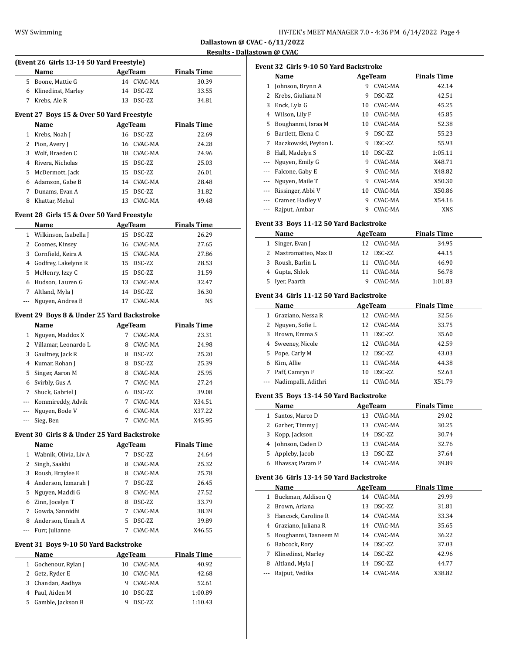|              | (Event 26 Girls 13-14 50 Yard Freestyle)<br>Name |    | <b>AgeTeam</b>         | <b>Finals Time</b> |  |
|--------------|--------------------------------------------------|----|------------------------|--------------------|--|
|              | 5 Boone, Mattie G                                |    | 14 CVAC-MA             | 30.39              |  |
|              | 6 Klinedinst, Marley                             |    | 14 DSC-ZZ              | 33.55              |  |
| 7            | Krebs, Ale R                                     | 13 | DSC-ZZ                 | 34.81              |  |
|              |                                                  |    |                        |                    |  |
|              | Event 27 Boys 15 & Over 50 Yard Freestyle        |    |                        |                    |  |
|              | Name                                             |    | AgeTeam                | <b>Finals Time</b> |  |
| $\mathbf{1}$ | Krebs, Noah J                                    |    | 16 DSC-ZZ              | 22.69              |  |
| 2            | Pion, Avery J                                    | 16 | CVAC-MA                | 24.28              |  |
|              | 3 Wolf, Braeden C                                |    | 18 CVAC-MA             | 24.96              |  |
|              | 4 Rivera, Nicholas                               |    | 15 DSC-ZZ              | 25.03              |  |
|              | 5 McDermott, Jack                                |    | 15 DSC-ZZ              | 26.01              |  |
|              | 6 Adamson, Gabe B                                |    | 14 CVAC-MA             | 28.48              |  |
|              | 7 Dunams, Evan A                                 | 15 | DSC-ZZ                 | 31.82              |  |
| 8            | Khattar, Mehul                                   | 13 | CVAC-MA                | 49.48              |  |
|              | Event 28 Girls 15 & Over 50 Yard Freestyle       |    |                        |                    |  |
|              | Name                                             |    | <b>AgeTeam</b>         | <b>Finals Time</b> |  |
|              | 1 Wilkinson, Isabella J                          |    | 15 DSC-ZZ              | 26.29              |  |
|              |                                                  |    |                        | 27.65              |  |
|              | 2 Coomes, Kinsey                                 |    | 16 CVAC-MA             |                    |  |
|              | 3 Cornfield, Keira A                             |    | 15 CVAC-MA             | 27.86              |  |
|              | 4 Godfrey, Lakelynn R                            |    | 15 DSC-ZZ              | 28.53              |  |
| 5            | McHenry, Izzy C                                  |    | 15 DSC-ZZ              | 31.59              |  |
|              | 6 Hudson, Lauren G                               | 13 | CVAC-MA                | 32.47              |  |
|              | 7 Altland, Myla J                                | 14 | DSC-ZZ                 | 36.30              |  |
| ---          | Nguyen, Andrea B                                 | 17 | CVAC-MA                | NS                 |  |
|              | Event 29 Boys 8 & Under 25 Yard Backstroke       |    |                        |                    |  |
|              | Name                                             |    | AgeTeam                | <b>Finals Time</b> |  |
|              | 1 Nguyen, Maddox X                               |    | 7 CVAC-MA              | 23.31              |  |
|              | 2 Villamar, Leonardo L                           |    | 8 CVAC-MA              | 24.98              |  |
|              | 3 Gaultney, Jack R                               |    | 8 DSC-ZZ               | 25.20              |  |
|              | 4 Kumar, Rohan J                                 |    | 8 DSC-ZZ               | 25.39              |  |
| 5            | Singer, Aaron M                                  |    | 8 CVAC-MA              | 25.95              |  |
| 6            | Svirbly, Gus A                                   |    | 7 CVAC-MA              | 27.24              |  |
| 7            | Shuck, Gabriel J                                 |    | 6 DSC-ZZ               | 39.08              |  |
| ---          | Kommireddy, Advik                                | 7  | CVAC-MA                | X34.51             |  |
| ---          | Nguyen, Bode V                                   |    | 6 CVAC-MA              | X37.22             |  |
| ---          | Sieg, Ben                                        |    | 7 CVAC-MA              | X45.95             |  |
|              |                                                  |    |                        |                    |  |
|              | Event 30 Girls 8 & Under 25 Yard Backstroke      |    |                        |                    |  |
|              | Name                                             |    | <b>AgeTeam</b>         | <b>Finals Time</b> |  |
| $\mathbf{1}$ | Wabnik, Olivia, Liv A                            | 7  | DSC-ZZ                 | 24.64              |  |
| $\mathbf{2}$ | Singh, Saakhi                                    | 8  | CVAC-MA                | 25.32              |  |
|              | 3 Roush, Braylee E                               |    | 8 CVAC-MA              | 25.78              |  |
|              | 4 Anderson, Izmarah J                            |    | 7 DSC-ZZ               | 26.45              |  |
| 5            | Nguyen, Maddi G                                  |    | 8 CVAC-MA              | 27.52              |  |
| 6            | Zinn, Jocelyn T                                  |    | 8 DSC-ZZ               | 33.79              |  |
| 7            | Gowda, Sannidhi                                  | 7  | CVAC-MA                | 38.39              |  |
|              | 8 Anderson, Umah A                               | 5  | DSC-ZZ                 | 39.89              |  |
|              |                                                  |    | CVAC-MA                | X46.55             |  |
| ---          | Furr, Julianne                                   | 7  |                        |                    |  |
|              |                                                  |    |                        |                    |  |
|              | Event 31 Boys 9-10 50 Yard Backstroke            |    |                        |                    |  |
|              | Name                                             |    | <b>AgeTeam</b>         | <b>Finals Time</b> |  |
| $\mathbf{1}$ | Gochenour, Rylan J                               | 10 | CVAC-MA                | 40.92              |  |
| $\mathbf{2}$ | Getz, Ryder E                                    | 10 | CVAC-MA                | 42.68              |  |
|              | 3 Chandan, Aadhya<br>4 Paul, Aiden M             |    | 9 CVAC-MA<br>10 DSC-ZZ | 52.61<br>1:00.89   |  |

|              | Event 32 Girls 9-10 50 Yard Backstroke  |    |                |                    |  |  |  |  |
|--------------|-----------------------------------------|----|----------------|--------------------|--|--|--|--|
|              | Name                                    |    | AgeTeam        | <b>Finals Time</b> |  |  |  |  |
|              | 1 Johnson, Brynn A                      |    | 9 CVAC-MA      | 42.14              |  |  |  |  |
|              | 2 Krebs, Giuliana N                     |    | 9 DSC-ZZ       | 42.51              |  |  |  |  |
|              | 3 Enck, Lyla G                          |    | 10 CVAC-MA     | 45.25              |  |  |  |  |
|              | 4 Wilson, Lily F                        |    | 10 CVAC-MA     | 45.85              |  |  |  |  |
| 5            | Boughanmi, Israa M                      |    | 10 CVAC-MA     | 52.38              |  |  |  |  |
| 6            | Bartlett, Elena C                       |    | 9 DSC-ZZ       | 55.23              |  |  |  |  |
|              | 7 Raczkowski, Peyton L                  |    | 9 DSC-ZZ       | 55.93              |  |  |  |  |
| 8            | Hall, Madelyn S                         |    | 10 DSC-ZZ      | 1:05.11            |  |  |  |  |
|              | --- Nguyen, Emily G                     |    | 9 CVAC-MA      | X48.71             |  |  |  |  |
|              | --- Falcone, Gaby E                     |    | 9 CVAC-MA      | X48.82             |  |  |  |  |
|              | --- Nguyen, Maile T                     |    | 9 CVAC-MA      | X50.30             |  |  |  |  |
|              | --- Rissinger, Abbi V                   |    | 10 CVAC-MA     | X50.86             |  |  |  |  |
|              | --- Cramer, Hadley V                    |    | 9 CVAC-MA      | X54.16             |  |  |  |  |
|              | --- Rajput, Ambar                       |    | 9 CVAC-MA      | XNS                |  |  |  |  |
|              | Event 33 Boys 11-12 50 Yard Backstroke  |    |                |                    |  |  |  |  |
|              | Name                                    |    | <b>AgeTeam</b> | <b>Finals Time</b> |  |  |  |  |
|              | 1 Singer, Evan J                        |    | 12 CVAC-MA     | 34.95              |  |  |  |  |
|              | 2 Mastromatteo, Max D                   |    | 12 DSC-ZZ      | 44.15              |  |  |  |  |
|              | 3 Roush, Barlin L                       |    | 11 CVAC-MA     | 46.90              |  |  |  |  |
|              | 4 Gupta, Shlok                          |    | 11 CVAC-MA     | 56.78              |  |  |  |  |
|              | 5 Iyer, Paarth                          |    | 9 CVAC-MA      | 1:01.83            |  |  |  |  |
|              |                                         |    |                |                    |  |  |  |  |
|              | Event 34 Girls 11-12 50 Yard Backstroke |    |                |                    |  |  |  |  |
|              | Name                                    |    | <b>AgeTeam</b> | <b>Finals Time</b> |  |  |  |  |
|              | 1 Graziano, Nessa R                     |    | 12 CVAC-MA     | 32.56              |  |  |  |  |
|              | 2 Nguyen, Sofie L                       |    | 12 CVAC-MA     | 33.75              |  |  |  |  |
|              | 3 Brown, Emma S                         |    | 11 DSC-ZZ      | 35.60              |  |  |  |  |
|              | 4 Sweeney, Nicole                       |    | 12 CVAC-MA     | 42.59              |  |  |  |  |
|              | 5 Pope, Carly M                         |    | 12 DSC-ZZ      | 43.03              |  |  |  |  |
|              | 6 Kim, Allie                            |    | 11 CVAC-MA     | 44.38              |  |  |  |  |
|              | 7 Paff, Camryn F                        |    | 10 DSC-ZZ      | 52.63              |  |  |  |  |
|              | --- Nadimpalli, Adithri                 |    | 11 CVAC-MA     | X51.79             |  |  |  |  |
|              | Event 35 Boys 13-14 50 Yard Backstroke  |    |                |                    |  |  |  |  |
|              | Name                                    |    | AgeTeam        | <b>Finals Time</b> |  |  |  |  |
| $\mathbf{1}$ | Santos, Marco D                         | 13 | CVAC-MA        | 29.02              |  |  |  |  |
| 2            | Garber, Timmy J                         | 13 | CVAC-MA        | 30.25              |  |  |  |  |
| 3            | Kopp, Jackson                           | 14 | DSC-ZZ         | 30.74              |  |  |  |  |
| 4            | Johnson, Caden D                        | 13 | CVAC-MA        | 32.76              |  |  |  |  |
| 5            | Appleby, Jacob                          | 13 | DSC-ZZ         | 37.64              |  |  |  |  |
| 6            | Bhavsar, Param P                        | 14 | CVAC-MA        | 39.89              |  |  |  |  |
|              | Event 36 Girls 13-14 50 Yard Backstroke |    |                |                    |  |  |  |  |
|              | Name                                    |    | AgeTeam        | <b>Finals Time</b> |  |  |  |  |
| $\mathbf{1}$ | Buckman, Addison Q                      |    | 14 CVAC-MA     | 29.99              |  |  |  |  |
| $\mathbf{2}$ | Brown, Ariana                           | 13 | DSC-ZZ         | 31.81              |  |  |  |  |
| 3            | Hancock, Caroline R                     |    | 14 CVAC-MA     | 33.34              |  |  |  |  |
| 4            | Graziano, Juliana R                     | 14 | CVAC-MA        | 35.65              |  |  |  |  |
| 5            | Boughanmi, Tasneem M                    |    | 14 CVAC-MA     | 36.22              |  |  |  |  |
| 6            | Babcock, Rory                           |    | 14 DSC-ZZ      | 37.03              |  |  |  |  |
| 7            | Klinedinst, Marley                      | 14 | DSC-ZZ         | 42.96              |  |  |  |  |
| 8            | Altland, Myla J                         | 14 | DSC-ZZ         | 44.77              |  |  |  |  |
|              | Rajput, Vedika                          | 14 | CVAC-MA        | X38.82             |  |  |  |  |
|              |                                         |    |                |                    |  |  |  |  |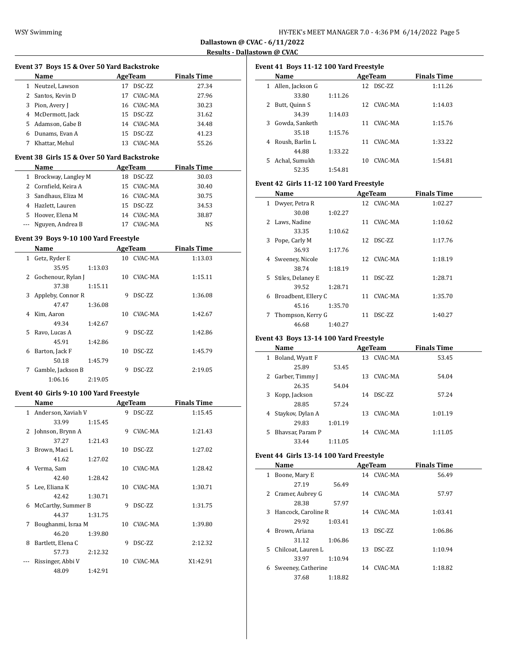**Event 37 Boys 15 & Over 50 Yard Backstroke**

**Dallastown @ CVAC - 6/11/2022 Results - Dallastown @ CVAC**

J,

 $\frac{1}{2}$ 

 $\overline{a}$ 

|              | <b>Name</b>                                 |    | <b>AgeTeam</b> | <b>Finals Time</b> |
|--------------|---------------------------------------------|----|----------------|--------------------|
|              | 1 Neutzel, Lawson                           |    | 17 DSC-ZZ      | 27.34              |
| 2            | Santos, Kevin D                             |    | 17 CVAC-MA     | 27.96              |
|              | 3 Pion, Avery J                             |    | 16 CVAC-MA     | 30.23              |
|              | 4 McDermott, Jack                           |    | 15 DSC-ZZ      | 31.62              |
|              | 5 Adamson, Gabe B                           |    | 14 CVAC-MA     | 34.48              |
|              | 6 Dunams, Evan A                            |    | 15 DSC-ZZ      | 41.23              |
|              | 7 Khattar, Mehul                            |    | 13 CVAC-MA     | 55.26              |
|              |                                             |    |                |                    |
|              | Event 38 Girls 15 & Over 50 Yard Backstroke |    |                |                    |
|              | Name                                        |    | AgeTeam        | <b>Finals Time</b> |
|              | 1 Brockway, Langley M                       |    | 18 DSC-ZZ      | 30.03              |
|              | 2 Cornfield, Keira A                        |    | 15 CVAC-MA     | 30.40              |
|              | 3 Sandhaus, Eliza M                         |    | 16 CVAC-MA     | 30.75              |
|              | 4 Hazlett, Lauren                           |    | 15 DSC-ZZ      | 34.53              |
|              | 5 Hoover, Elena M                           |    | 14 CVAC-MA     | 38.87              |
|              | --- Nguyen, Andrea B                        |    | 17 CVAC-MA     | NS                 |
|              |                                             |    |                |                    |
|              | Event 39 Boys 9-10 100 Yard Freestyle       |    |                |                    |
|              | Name                                        |    | AgeTeam        | <b>Finals Time</b> |
| $\mathbf{1}$ | Getz, Ryder E                               |    | 10 CVAC-MA     | 1:13.03            |
|              | 35.95<br>1:13.03                            |    |                |                    |
|              | 2 Gochenour, Rylan J                        |    | 10 CVAC-MA     | 1:15.11            |
|              | 37.38<br>1:15.11                            |    |                |                    |
|              | 3 Appleby, Connor R                         | 9  | DSC-ZZ         | 1:36.08            |
|              | 47.47<br>1:36.08                            |    |                |                    |
|              | 4 Kim, Aaron                                | 10 | CVAC-MA        | 1:42.67            |
|              | 49.34<br>1:42.67                            |    |                |                    |
|              | 5 Ravo, Lucas A                             | 9  | DSC-ZZ         | 1:42.86            |
|              | 45.91<br>1:42.86                            |    |                |                    |
| 6            | Barton, Jack F                              | 10 | DSC-ZZ         | 1:45.79            |
|              | 50.18<br>1:45.79                            |    |                |                    |
|              | 7 Gamble, Jackson B                         | 9  | DSC-ZZ         | 2:19.05            |
|              | 1:06.16<br>2:19.05                          |    |                |                    |
|              | Event 40 Girls 9-10 100 Yard Freestyle      |    |                |                    |
|              |                                             |    | AgeTeam        | <b>Finals Time</b> |
|              | Name                                        |    |                |                    |
|              | 1 Anderson, Xaviah V                        | 9. | DSC-ZZ         | 1:15.45            |
|              | 33.99<br>1:15.45                            |    |                |                    |
| 2            | Johnson, Brynn A                            | 9  | CVAC-MA        | 1:21.43            |
|              | 37.27<br>1:21.43                            |    |                |                    |
|              | 3 Brown, Maci L                             |    | 10 DSC-ZZ      | 1:27.02            |
|              | 41.62<br>1:27.02                            |    |                |                    |
|              | 4 Verma, Sam                                | 10 | CVAC-MA        | 1:28.42            |
|              | 42.40<br>1:28.42                            |    |                |                    |
| 5            | Lee, Eliana K                               | 10 | CVAC-MA        | 1:30.71            |
|              | 42.42<br>1:30.71                            |    |                |                    |
| 6            | McCarthy, Summer B                          | 9  | DSC-ZZ         | 1:31.75            |
|              | 44.37<br>1:31.75                            |    |                |                    |
| 7            | Boughanmi, Israa M                          | 10 | CVAC-MA        | 1:39.80            |
|              | 46.20<br>1:39.80                            |    |                |                    |
| 8            | Bartlett, Elena C                           | 9  | DSC-ZZ         | 2:12.32            |
|              | 57.73<br>2:12.32                            |    |                |                    |
| $\cdots$     | Rissinger, Abbi V                           |    | 10 CVAC-MA     | X1:42.91           |

48.09 1:42.91

| Event 41 Boys 11-12 100 Yard Freestyle |                  |         |    |             |                    |  |  |
|----------------------------------------|------------------|---------|----|-------------|--------------------|--|--|
|                                        | Name             |         |    | AgeTeam     | <b>Finals Time</b> |  |  |
| 1                                      | Allen, Jackson G |         |    | 12 DSC-7.7. | 1:11.26            |  |  |
|                                        | 33.80            | 1:11.26 |    |             |                    |  |  |
| 2                                      | Butt, Quinn S    |         |    | 12 CVAC-MA  | 1:14.03            |  |  |
|                                        | 34.39            | 1:14.03 |    |             |                    |  |  |
| 3                                      | Gowda, Sanketh   |         | 11 | CVAC-MA     | 1:15.76            |  |  |
|                                        | 35.18            | 1:15.76 |    |             |                    |  |  |
| 4                                      | Roush, Barlin L  |         | 11 | CVAC-MA     | 1:33.22            |  |  |
|                                        | 44.88            | 1:33.22 |    |             |                    |  |  |
| 5.                                     | Achal, Sumukh    |         | 10 | CVAC-MA     | 1:54.81            |  |  |
|                                        | 52.35            | 1:54.81 |    |             |                    |  |  |

### **Event 42 Girls 11-12 100 Yard Freestyle**

|   | Name                |         |    | <b>AgeTeam</b>  | <b>Finals Time</b> |
|---|---------------------|---------|----|-----------------|--------------------|
| 1 | Dwyer, Petra R      |         |    | 12 CVAC-MA      | 1:02.27            |
|   | 30.08               | 1:02.27 |    |                 |                    |
|   | 2 Laws, Nadine      |         |    | 11 CVAC-MA      | 1:10.62            |
|   | 33.35               | 1:10.62 |    |                 |                    |
|   | 3 Pope, Carly M     |         |    | 12 DSC-7.7.     | 1:17.76            |
|   | 36.93               | 1:17.76 |    |                 |                    |
|   | 4 Sweeney, Nicole   |         |    | 12 CVAC-MA      | 1:18.19            |
|   | 38.74               | 1:18.19 |    |                 |                    |
|   | 5 Stiles, Delaney E |         | 11 | DSC-7.7.        | 1:28.71            |
|   | 39.52               | 1:28.71 |    |                 |                    |
| 6 | Broadbent, Ellery C |         |    | 11 CVAC-MA      | 1:35.70            |
|   | 45.16               | 1:35.70 |    |                 |                    |
| 7 | Thompson, Kerry G   |         | 11 | <b>DSC-7.7.</b> | 1:40.27            |
|   | 46.68               | 1:40.27 |    |                 |                    |

### **Event 43 Boys 13-14 100 Yard Freestyle**

|   | Name             |         |    | AgeTeam | <b>Finals Time</b> |  |
|---|------------------|---------|----|---------|--------------------|--|
| 1 | Boland, Wyatt F  |         | 13 | CVAC-MA | 53.45              |  |
|   | 25.89            | 53.45   |    |         |                    |  |
| 2 | Garber, Timmy J  |         | 13 | CVAC-MA | 54.04              |  |
|   | 26.35            | 54.04   |    |         |                    |  |
| 3 | Kopp, Jackson    |         | 14 | DSC-ZZ  | 57.24              |  |
|   | 28.85            | 57.24   |    |         |                    |  |
| 4 | Staykov, Dylan A |         | 13 | CVAC-MA | 1:01.19            |  |
|   | 29.83            | 1:01.19 |    |         |                    |  |
| 5 | Bhaysar, Param P |         | 14 | CVAC-MA | 1:11.05            |  |
|   | 33.44            | 1:11.05 |    |         |                    |  |

#### **Event 44 Girls 13-14 100 Yard Freestyle**

| Name                     |         |    | AgeTeam       | <b>Finals Time</b> |  |
|--------------------------|---------|----|---------------|--------------------|--|
| Boone, Mary E<br>1       |         |    | 14 CVAC-MA    | 56.49              |  |
| 27.19                    | 56.49   |    |               |                    |  |
| Cramer, Aubrey G<br>2    |         | 14 | CVAC-MA       | 57.97              |  |
| 28.38                    | 57.97   |    |               |                    |  |
| Hancock, Caroline R<br>3 |         |    | 14 CVAC-MA    | 1:03.41            |  |
| 29.92                    | 1:03.41 |    |               |                    |  |
| Brown, Ariana<br>4       |         | 13 | DSC-ZZ        | 1:06.86            |  |
| 31.12                    | 1:06.86 |    |               |                    |  |
| Chilcoat, Lauren L<br>5. |         | 13 | <b>DSC-ZZ</b> | 1:10.94            |  |
| 33.97                    | 1:10.94 |    |               |                    |  |
| Sweeney, Catherine<br>6  |         | 14 | CVAC-MA       | 1:18.82            |  |
| 37.68                    | 1:18.82 |    |               |                    |  |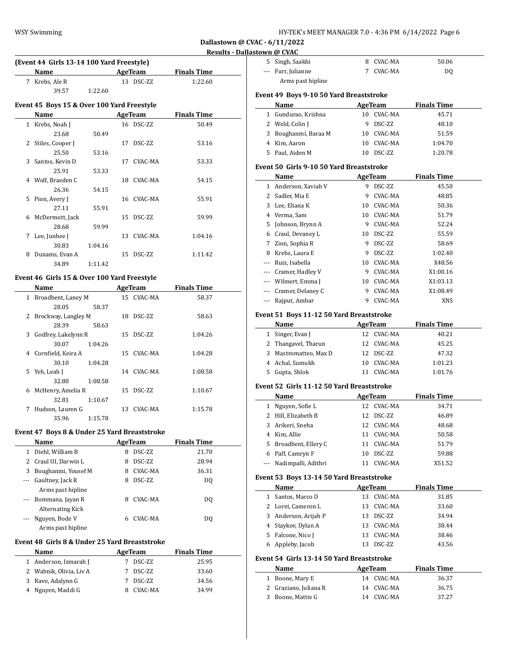| HY-TEK's MEET MANAGER 7.0 - 4:36 PM 6/14/2022 Page 6 |  |  |  |
|------------------------------------------------------|--|--|--|
|------------------------------------------------------|--|--|--|

# **Results - Dallastown @ CVAC**

| (Event 44 Girls 13-14 100 Yard Freestyle)  |           |                    |  |  |  |  |  |  |
|--------------------------------------------|-----------|--------------------|--|--|--|--|--|--|
| <b>Name</b>                                | AgeTeam   | <b>Finals Time</b> |  |  |  |  |  |  |
| 7 Krebs, Ale R                             | 13 DSC-ZZ | 1:22.60            |  |  |  |  |  |  |
| 39.57                                      | 1:22.60   |                    |  |  |  |  |  |  |
| Event 45 Boys 15 & Over 100 Yard Freestyle |           |                    |  |  |  |  |  |  |
| Name                                       | AgeTeam   | <b>Finals Time</b> |  |  |  |  |  |  |

| $\mathbf{1}$ | Krebs, Noah J    |         |    | 16 DSC-ZZ  | 50.49   |
|--------------|------------------|---------|----|------------|---------|
|              | 23.68            | 50.49   |    |            |         |
| 2            | Stiles, Cooper J |         | 17 | DSC-ZZ     | 53.16   |
|              | 25.50            | 53.16   |    |            |         |
| 3            | Santos, Kevin D  |         | 17 | CVAC-MA    | 53.33   |
|              | 25.91            | 53.33   |    |            |         |
| 4            | Wolf, Braeden C  |         | 18 | CVAC-MA    | 54.15   |
|              | 26.36            | 54.15   |    |            |         |
| 5.           | Pion, Avery J    |         |    | 16 CVAC-MA | 55.91   |
|              | 27.11            | 55.91   |    |            |         |
| 6            | McDermott, Jack  |         | 15 | DSC-ZZ     | 59.99   |
|              | 28.68            | 59.99   |    |            |         |
| 7            | Lee, Junhee J    |         | 13 | CVAC-MA    | 1:04.16 |
|              | 30.83            | 1:04.16 |    |            |         |
| 8            | Dunams, Evan A   |         | 15 | DSC-ZZ     | 1:11.42 |
|              | 34.89            | 1:11.42 |    |            |         |
|              |                  |         |    |            |         |

# **Event 46 Girls 15 & Over 100 Yard Freestyle**

|   | Name                 |         |     | AgeTeam    | <b>Finals Time</b> |  |
|---|----------------------|---------|-----|------------|--------------------|--|
| 1 | Broadbent, Laney M   |         |     | 15 CVAC-MA | 58.37              |  |
|   | 28.05                | 58.37   |     |            |                    |  |
| 2 | Brockway, Langley M  |         | 18  | DSC-ZZ     | 58.63              |  |
|   | 28.39                | 58.63   |     |            |                    |  |
| 3 | Godfrey, Lakelynn R  |         | 15  | DSC-ZZ     | 1:04.26            |  |
|   | 30.07                | 1:04.26 |     |            |                    |  |
|   | 4 Cornfield, Keira A |         | 15  | CVAC-MA    | 1:04.28            |  |
|   | 30.10                | 1:04.28 |     |            |                    |  |
|   | Yeh, Leah J<br>5.    |         |     | 14 CVAC-MA | 1:08.58            |  |
|   | 32.80                | 1:08.58 |     |            |                    |  |
| 6 | McHenry, Amelia R    |         | 15  | DSC-ZZ     | 1:10.67            |  |
|   | 32.81                | 1:10.67 |     |            |                    |  |
| 7 | Hudson, Lauren G     |         | 13. | CVAC-MA    | 1:15.78            |  |
|   | 35.96                | 1:15.78 |     |            |                    |  |

## **Event 47 Boys 8 & Under 25 Yard Breaststroke**

|          | Name                  |   | AgeTeam | <b>Finals Time</b> |  |
|----------|-----------------------|---|---------|--------------------|--|
| 1        | Diehl, William B      | 8 | DSC-ZZ  | 21.70              |  |
|          | 2 Craul III, Darwin L | 8 | DSC-ZZ  | 28.94              |  |
| 3        | Boughanmi, Yousef M   | 8 | CVAC-MA | 36.31              |  |
| $\cdots$ | Gaultney, Jack R      | 8 | DSC-ZZ  | DO.                |  |
|          | Arms past hipline     |   |         |                    |  |
| $\cdots$ | Bommana, Jayan R      | 8 | CVAC-MA | DO.                |  |
|          | Alternating Kick      |   |         |                    |  |
|          | Nguyen, Bode V        | 6 | CVAC-MA | DO.                |  |
|          | Arms past hipline     |   |         |                    |  |

### **Event 48 Girls 8 & Under 25 Yard Breaststroke**

| <b>Name</b>             | AgeTeam |          | <b>Finals Time</b> |       |
|-------------------------|---------|----------|--------------------|-------|
| 1 Anderson, Izmarah J   |         | DSC-ZZ   |                    | 25.95 |
| 2 Wabnik, Olivia, Liv A |         | 7 DSC-ZZ |                    | 33.60 |
| 3 Ravo, Adalynn G       | 7       | DSC-ZZ   |                    | 34.56 |
| 4 Nguyen, Maddi G       |         | CVAC-MA  |                    | 34.99 |

|                                          | 5 Singh, Saakhi                           | 8  | CVAC-MA                      | 50.06                       |  |
|------------------------------------------|-------------------------------------------|----|------------------------------|-----------------------------|--|
|                                          | --- Furr, Julianne                        |    | 7 CVAC-MA                    | DQ                          |  |
|                                          | Arms past hipline                         |    |                              |                             |  |
|                                          |                                           |    |                              |                             |  |
|                                          | Event 49 Boys 9-10 50 Yard Breaststroke   |    |                              |                             |  |
|                                          | Name                                      |    | AgeTeam                      | <b>Finals Time</b>          |  |
|                                          | 1 Gundurao, Krishna                       |    | 10 CVAC-MA                   | 45.71                       |  |
|                                          | 2 Weld, Colin J                           | 9  | DSC-ZZ                       | 48.10                       |  |
|                                          | 3 Boughanmi, Baraa M                      |    | 10 CVAC-MA                   | 51.59                       |  |
|                                          | 4 Kim, Aaron                              |    | 10 CVAC-MA                   | 1:04.70                     |  |
|                                          | 5 Paul, Aiden M                           |    | 10 DSC-ZZ                    | 1:20.78                     |  |
|                                          | Event 50 Girls 9-10 50 Yard Breaststroke  |    |                              |                             |  |
|                                          | Name                                      |    | AgeTeam                      | <b>Finals Time</b>          |  |
|                                          | 1 Anderson, Xaviah V                      |    | 9 DSC-ZZ                     | 45.50                       |  |
|                                          | 2 Sadler, Mia E                           | 9  | CVAC-MA                      | 48.85                       |  |
|                                          | 3 Lee, Eliana K                           |    | 10 CVAC-MA                   | 50.36                       |  |
|                                          | 4 Verma, Sam                              |    | 10 CVAC-MA                   | 51.79                       |  |
|                                          | 5 Johnson, Brynn A                        | 9. | CVAC-MA                      | 52.24                       |  |
|                                          | 6 Craul, Devaney L                        | 10 | DSC-ZZ                       | 55.59                       |  |
|                                          | 7 Zinn, Sophia R                          | 9. | DSC-ZZ                       | 58.69                       |  |
|                                          | 8 Krebs, Laura E                          | 9  | DSC-ZZ                       | 1:02.40                     |  |
|                                          | --- Ruiz, Isabella                        |    | 10 CVAC-MA                   |                             |  |
|                                          |                                           |    |                              | X48.56                      |  |
|                                          | --- Cramer, Hadley V                      |    | 9 CVAC-MA                    | X1:00.16                    |  |
|                                          | --- Wilmert, Emma J                       |    | 10 CVAC-MA                   | X1:03.13                    |  |
|                                          | --- Cramer, Delaney C                     |    | 9 CVAC-MA                    | X1:08.49                    |  |
|                                          | --- Rajput, Ambar                         |    | 9 CVAC-MA                    | XNS                         |  |
| Event 51 Boys 11-12 50 Yard Breaststroke |                                           |    |                              |                             |  |
|                                          |                                           |    |                              |                             |  |
|                                          | Name                                      |    | <b>AgeTeam</b>               | <b>Finals Time</b>          |  |
|                                          | 1 Singer, Evan J                          |    | 12 CVAC-MA                   | 40.21                       |  |
|                                          | 2 Thangavel, Tharun                       |    | 12 CVAC-MA                   | 45.25                       |  |
|                                          | 3 Mastromatteo, Max D                     |    | 12 DSC-ZZ                    | 47.32                       |  |
|                                          | 4 Achal, Sumukh                           | 10 | CVAC-MA                      | 1:01.23                     |  |
| 5.                                       | Gupta, Shlok                              | 11 | CVAC-MA                      | 1:01.76                     |  |
|                                          |                                           |    |                              |                             |  |
|                                          | Event 52 Girls 11-12 50 Yard Breaststroke |    |                              |                             |  |
|                                          | Name                                      |    | <b>AgeTeam</b><br>12 CVAC-MA | <b>Finals Time</b><br>34.71 |  |
|                                          | 1 Nguyen, Sofie L                         | 12 | DSC-ZZ                       |                             |  |
|                                          | 2 Hill, Elizabeth B                       |    |                              | 46.89                       |  |
|                                          | 3 Arikeri, Sneha                          |    | 12 CVAC-MA                   | 48.68                       |  |
|                                          | 4 Kim, Allie                              |    | 11 CVAC-MA                   | 50.58                       |  |
|                                          | 5 Broadbent, Ellery C                     | 11 | CVAC-MA                      | 51.79                       |  |
|                                          | 6 Paff, Camryn F                          | 10 | DSC-ZZ                       | 59.88                       |  |
| $---$                                    | Nadimpalli, Adithri                       |    | 11 CVAC-MA                   | X51.52                      |  |
|                                          | Event 53 Boys 13-14 50 Yard Breaststroke  |    |                              |                             |  |
|                                          | Name                                      |    | AgeTeam                      | <b>Finals Time</b>          |  |
|                                          | 1 Santos, Marco D                         | 13 | CVAC-MA                      | 31.85                       |  |
|                                          | 2 Lorei, Cameron L                        | 13 | CVAC-MA                      | 33.60                       |  |
|                                          | 3 Anderson, Arijah P                      | 13 | DSC-ZZ                       | 34.94                       |  |
|                                          | 4 Staykov, Dylan A                        | 13 | CVAC-MA                      | 38.44                       |  |
|                                          | 5 Falcone, Nico J                         | 13 | CVAC-MA                      | 38.46                       |  |
|                                          | 6 Appleby, Jacob                          | 13 | DSC-ZZ                       | 43.56                       |  |

| Name                  | AgeTeam    | <b>Finals Time</b> |
|-----------------------|------------|--------------------|
| 1 Boone, Mary E       | 14 CVAC-MA | 36.37              |
| 2 Graziano, Juliana R | 14 CVAC-MA | 36.75              |
| 3 Boone, Mattie G     | 14 CVAC-MA | 37.27              |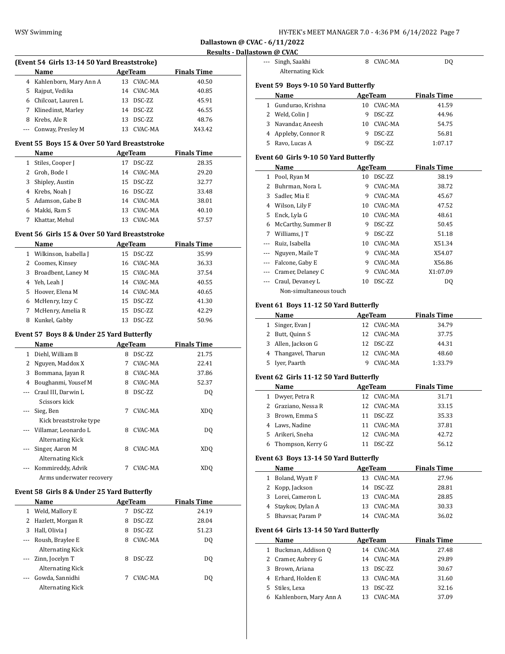| HY-TEK's MEET MANAGER 7.0 - 4:36 PM 6/14/2022 Page 7 |  |  |
|------------------------------------------------------|--|--|
|------------------------------------------------------|--|--|

**Results - Dallastown @ CVAC**

 $\overline{\phantom{a}}$ 

|                |                                                      |   |                |                    | Results - Dallastown @                                                                                                                                                                                                                          |
|----------------|------------------------------------------------------|---|----------------|--------------------|-------------------------------------------------------------------------------------------------------------------------------------------------------------------------------------------------------------------------------------------------|
|                | (Event 54 Girls 13-14 50 Yard Breaststroke)          |   |                |                    |                                                                                                                                                                                                                                                 |
|                | Name                                                 |   | AgeTeam        | <b>Finals Time</b> |                                                                                                                                                                                                                                                 |
|                | 4 Kahlenborn, Mary Ann A                             |   | 13 CVAC-MA     | 40.50              | <b>Event</b> <sub>5</sub>                                                                                                                                                                                                                       |
|                | 5 Rajput, Vedika                                     |   | 14 CVAC-MA     | 40.85              |                                                                                                                                                                                                                                                 |
|                | 6 Chilcoat, Lauren L                                 |   | 13 DSC-ZZ      | 45.91              | ľ                                                                                                                                                                                                                                               |
|                | 7 Klinedinst, Marley                                 |   | 14 DSC-ZZ      | 46.55              | 1 (                                                                                                                                                                                                                                             |
|                | 8 Krebs, Ale R                                       |   | 13 DSC-ZZ      | 48.76              | 2 \                                                                                                                                                                                                                                             |
|                | --- Conway, Presley M                                |   | 13 CVAC-MA     | X43.42             | 3 N                                                                                                                                                                                                                                             |
|                |                                                      |   |                |                    | 4 /                                                                                                                                                                                                                                             |
|                | Event 55 Boys 15 & Over 50 Yard Breaststroke<br>Name |   |                |                    | 5 F                                                                                                                                                                                                                                             |
|                |                                                      |   | <b>AgeTeam</b> | <b>Finals Time</b> | Event 6                                                                                                                                                                                                                                         |
|                | 1 Stiles, Cooper J                                   |   | 17 DSC-ZZ      | 28.35              | ľ                                                                                                                                                                                                                                               |
|                | 2 Groh, Bode I                                       |   | 14 CVAC-MA     | 29.20              | 1 F                                                                                                                                                                                                                                             |
|                | 3 Shipley, Austin                                    |   | 15 DSC-ZZ      | 32.77              | 2 F                                                                                                                                                                                                                                             |
|                | 4 Krebs, Noah J                                      |   | 16 DSC-ZZ      | 33.48              | -S<br>3                                                                                                                                                                                                                                         |
|                | 5 Adamson, Gabe B                                    |   | 14 CVAC-MA     | 38.01              | J<br>4                                                                                                                                                                                                                                          |
|                | 6 Makki, Ram S                                       |   | 13 CVAC-MA     | 40.10              | $\mathbf{F}$<br>5                                                                                                                                                                                                                               |
|                | 7 Khattar, Mehul                                     |   | 13 CVAC-MA     | 57.57              | 6 N                                                                                                                                                                                                                                             |
|                | Event 56 Girls 15 & Over 50 Yard Breaststroke        |   |                |                    | 7 I                                                                                                                                                                                                                                             |
|                | <b>Name</b>                                          |   | <b>AgeTeam</b> | <b>Finals Time</b> | - F                                                                                                                                                                                                                                             |
|                | 1 Wilkinson, Isabella J                              |   | 15 DSC-ZZ      | 35.99              | $\mathbf{I}$                                                                                                                                                                                                                                    |
|                | 2 Coomes, Kinsey                                     |   | 16 CVAC-MA     | 36.33              | - F                                                                                                                                                                                                                                             |
|                | 3 Broadbent, Laney M                                 |   | 15 CVAC-MA     | 37.54              | 0                                                                                                                                                                                                                                               |
|                | 4 Yeh, Leah J                                        |   | 14 CVAC-MA     | 40.55              | 0                                                                                                                                                                                                                                               |
|                | 5 Hoover, Elena M                                    |   | 14 CVAC-MA     | 40.65              |                                                                                                                                                                                                                                                 |
|                | 6 McHenry, Izzy C                                    |   | 15 DSC-ZZ      | 41.30              |                                                                                                                                                                                                                                                 |
|                |                                                      |   |                |                    |                                                                                                                                                                                                                                                 |
|                |                                                      |   |                |                    |                                                                                                                                                                                                                                                 |
| 7              | McHenry, Amelia R                                    |   | 15 DSC-ZZ      | 42.29              |                                                                                                                                                                                                                                                 |
|                | 8 Kunkel, Gabby                                      |   | 13 DSC-ZZ      | 50.96              |                                                                                                                                                                                                                                                 |
|                | Event 57 Boys 8 & Under 25 Yard Butterfly            |   |                |                    |                                                                                                                                                                                                                                                 |
|                | Name                                                 |   | <b>AgeTeam</b> | <b>Finals Time</b> |                                                                                                                                                                                                                                                 |
|                | 1 Diehl, William B                                   |   | 8 DSC-ZZ       | 21.75              |                                                                                                                                                                                                                                                 |
|                | 2 Nguyen, Maddox X                                   |   | 7 CVAC-MA      | 22.41              |                                                                                                                                                                                                                                                 |
|                | 3 Bommana, Jayan R                                   |   | 8 CVAC-MA      | 37.86              |                                                                                                                                                                                                                                                 |
|                | 4 Boughanmi, Yousef M                                |   | 8 CVAC-MA      | 52.37              |                                                                                                                                                                                                                                                 |
| ---            | Craul III, Darwin L                                  |   | 8 DSC-ZZ       | DQ                 |                                                                                                                                                                                                                                                 |
|                | Scissors kick                                        |   |                |                    |                                                                                                                                                                                                                                                 |
| ---            |                                                      | 7 | CVAC-MA        | <b>XDQ</b>         |                                                                                                                                                                                                                                                 |
|                | Sieg, Ben                                            |   |                |                    |                                                                                                                                                                                                                                                 |
|                | Kick breaststroke type<br>--- Villamar, Leonardo L   | 8 | CVAC-MA        |                    |                                                                                                                                                                                                                                                 |
|                |                                                      |   |                | DQ                 | 5                                                                                                                                                                                                                                               |
| ---            | <b>Alternating Kick</b>                              | 8 |                |                    |                                                                                                                                                                                                                                                 |
|                | Singer, Aaron M                                      |   | CVAC-MA        | XDQ                |                                                                                                                                                                                                                                                 |
|                | <b>Alternating Kick</b>                              |   |                |                    |                                                                                                                                                                                                                                                 |
| $\cdots$       | Kommireddy, Advik                                    | 7 | CVAC-MA        | <b>XDQ</b>         |                                                                                                                                                                                                                                                 |
|                | Arms underwater recovery                             |   |                |                    |                                                                                                                                                                                                                                                 |
|                | Event 58 Girls 8 & Under 25 Yard Butterfly           |   |                |                    |                                                                                                                                                                                                                                                 |
|                | Name                                                 |   | <b>AgeTeam</b> | <b>Finals Time</b> |                                                                                                                                                                                                                                                 |
|                | 1 Weld, Mallory E                                    |   | 7 DSC-ZZ       | 24.19              |                                                                                                                                                                                                                                                 |
|                | 2 Hazlett, Morgan R                                  | 8 | DSC-ZZ         | 28.04              |                                                                                                                                                                                                                                                 |
|                | 3 Hall, Olivia J                                     | 8 | DSC-ZZ         | 51.23              |                                                                                                                                                                                                                                                 |
| $\cdots$       | Roush, Braylee E                                     | 8 | CVAC-MA        | DQ                 |                                                                                                                                                                                                                                                 |
|                | <b>Alternating Kick</b>                              |   |                |                    |                                                                                                                                                                                                                                                 |
| ---            | Zinn, Jocelyn T                                      | 8 | DSC-ZZ         | DQ                 |                                                                                                                                                                                                                                                 |
|                | <b>Alternating Kick</b>                              |   |                |                    |                                                                                                                                                                                                                                                 |
| $\overline{a}$ | Gowda, Sannidhi                                      | 7 | CVAC-MA        | DQ                 |                                                                                                                                                                                                                                                 |
|                | <b>Alternating Kick</b>                              |   |                |                    | Event 6<br>1 <sup>5</sup><br>2 <sub>1</sub><br>$3 \neq$<br>4 1<br>5 I<br>Event 6<br>$1 \;$ I<br>20<br>3 F<br>4 I<br>- 1<br>61<br>Event 6<br>1 F<br>2 F<br>3 <sub>1</sub><br>4 S<br>5 F<br>Event 6<br>1 F<br>2 <sub>0</sub><br>3 F<br>4 F<br>5 S |
|                |                                                      |   |                |                    | 6 F                                                                                                                                                                                                                                             |

| ---          | Singh, Saakhi<br><b>Alternating Kick</b> | 8  | CVAC-MA        | DQ                 |  |
|--------------|------------------------------------------|----|----------------|--------------------|--|
|              |                                          |    |                |                    |  |
|              | Event 59 Boys 9-10 50 Yard Butterfly     |    |                |                    |  |
|              | Name                                     |    | AgeTeam        | <b>Finals Time</b> |  |
| $1 \quad$    | Gundurao, Krishna                        | 10 | CVAC-MA        | 41.59              |  |
|              | 2 Weld, Colin J                          | 9  | DSC-ZZ         | 44.96              |  |
|              | 3 Navandar, Aneesh                       | 10 | CVAC-MA        | 54.75              |  |
|              | 4 Appleby, Connor R                      | 9  | DSC-ZZ         | 56.81              |  |
|              | 5 Ravo, Lucas A                          | 9  | DSC-ZZ         | 1:07.17            |  |
|              | Event 60  Girls 9-10 50 Yard Butterfly   |    |                |                    |  |
|              | Name                                     |    | AgeTeam        | <b>Finals Time</b> |  |
|              | 1 Pool, Ryan M                           |    | 10 DSC-ZZ      | 38.19              |  |
|              | 2 Buhrman, Nora L                        | 9  | CVAC-MA        | 38.72              |  |
|              | 3 Sadler, Mia E                          | 9  | CVAC-MA        | 45.67              |  |
|              | 4 Wilson, Lily F                         | 10 | CVAC-MA        | 47.52              |  |
|              | 5 Enck, Lyla G                           |    | 10 CVAC-MA     | 48.61              |  |
|              | 6 McCarthy, Summer B                     | 9  | DSC-ZZ         | 50.45              |  |
|              | 7 Williams, JT                           | 9  | DSC-ZZ         | 51.18              |  |
|              | --- Ruiz, Isabella                       |    | 10 CVAC-MA     | X51.34             |  |
|              | --- Nguyen, Maile T                      |    | 9 CVAC-MA      | X54.07             |  |
|              | --- Falcone, Gaby E                      | 9  | CVAC-MA        | X56.86             |  |
|              | --- Cramer, Delaney C                    | 9  | CVAC-MA        | X1:07.09           |  |
| ---          | Craul, Devaney L                         | 10 | DSC-ZZ         | DQ                 |  |
|              | Non-simultaneous touch                   |    |                |                    |  |
|              | Event 61  Boys 11-12 50 Yard Butterfly   |    |                |                    |  |
|              | Name                                     |    | <b>AgeTeam</b> | <b>Finals Time</b> |  |
|              | 1 Singer, Evan J                         |    | 12 CVAC-MA     | 34.79              |  |
|              | 2 Butt, Quinn S                          |    | 12 CVAC-MA     | 37.75              |  |
|              | 3 Allen, Jackson G                       |    | 12 DSC-ZZ      | 44.31              |  |
|              | 4 Thangavel, Tharun                      |    | 12 CVAC-MA     | 48.60              |  |
|              | 5 Iyer, Paarth                           |    | 9 CVAC-MA      | 1:33.79            |  |
|              | Event 62 Girls 11-12 50 Yard Butterfly   |    |                |                    |  |
|              | Name                                     |    | AgeTeam        | <b>Finals Time</b> |  |
|              | 1 Dwyer, Petra R                         |    | 12 CVAC-MA     | 31.71              |  |
|              | 2 Graziano, Nessa R                      |    | 12 CVAC-MA     | 33.15              |  |
| 3            | Brown, Emma S                            | 11 | DSC-ZZ         | 35.33              |  |
| 4            | Laws, Nadine                             | 11 | CVAC-MA        | 37.81              |  |
| 5            | Arikeri, Sneha                           | 12 | CVAC-MA        | 42.72              |  |
| 6            | Thompson, Kerry G                        | 11 | DSC-ZZ         | 56.12              |  |
|              | Event 63 Boys 13-14 50 Yard Butterfly    |    |                |                    |  |
|              | Name                                     |    | <b>AgeTeam</b> | <b>Finals Time</b> |  |
| $\mathbf{1}$ | Boland, Wyatt F                          |    | 13 CVAC-MA     | 27.96              |  |
| 2            | Kopp, Jackson                            | 14 | DSC-ZZ         | 28.81              |  |
| 3            | Lorei, Cameron L                         | 13 | CVAC-MA        | 28.85              |  |
| 4            | Staykov, Dylan A                         | 13 | CVAC-MA        | 30.33              |  |
| 5            | Bhavsar, Param P                         |    | 14 CVAC-MA     | 36.02              |  |
|              |                                          |    |                |                    |  |
|              | Event 64 Girls 13-14 50 Yard Butterfly   |    |                |                    |  |
|              | <b>Name</b>                              |    | <b>AgeTeam</b> | <b>Finals Time</b> |  |
| $\mathbf{1}$ | Buckman, Addison Q                       |    | 14 CVAC-MA     | 27.48              |  |
| 2            | Cramer, Aubrey G                         | 14 | CVAC-MA        | 29.89              |  |
| 3            | Brown, Ariana                            | 13 | DSC-ZZ         | 30.67              |  |
|              | 4 Erhard, Holden E                       | 13 | CVAC-MA        | 31.60              |  |
| 5            | Stiles, Lexa                             | 13 | DSC-ZZ         | 32.16              |  |
| 6            | Kahlenborn, Mary Ann A                   | 13 | CVAC-MA        | 37.09              |  |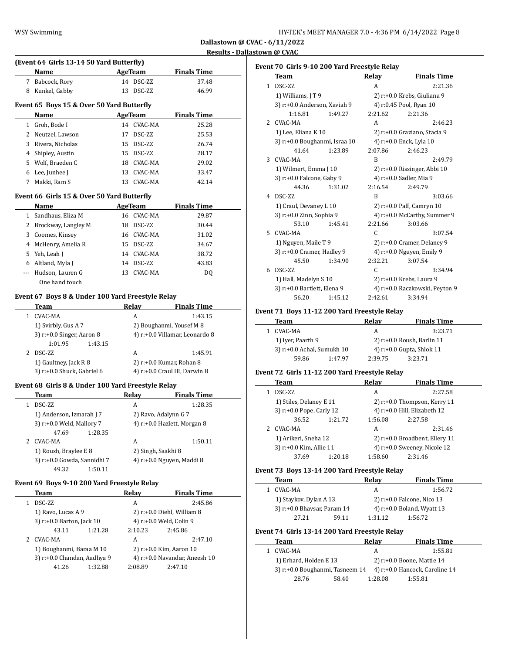| HY-TEK's MEET MANAGER 7.0 - 4:36 PM 6/14/2022 Page 8 |  |  |
|------------------------------------------------------|--|--|
|------------------------------------------------------|--|--|

 $\overline{\phantom{a}}$ 

 $\overline{\phantom{a}}$ 

 $\overline{\phantom{a}}$ 

|   |                                           |         |            | results            |  |
|---|-------------------------------------------|---------|------------|--------------------|--|
|   | (Event 64 Girls 13-14 50 Yard Butterfly)  |         |            |                    |  |
|   | Name                                      | AgeTeam |            | <b>Finals Time</b> |  |
| 7 | Babcock, Rory                             | 14      | DSC-ZZ     | 37.48              |  |
| 8 | Kunkel, Gabby                             | 13      | DSC-ZZ     | 46.99              |  |
|   | Event 65 Boys 15 & Over 50 Yard Butterfly |         |            |                    |  |
|   | Name                                      | AgeTeam |            | <b>Finals Time</b> |  |
|   | Groh. Bode I                              |         | 14 CVAC-MA | 25.28              |  |
|   | Neutzel. Lawson                           | 17      | DSC-ZZ     | 25.53              |  |
| 3 | Rivera, Nicholas                          | 15      | DSC-ZZ     | 26.74              |  |
| 4 | Shipley, Austin                           | 15      | DSC-ZZ     | 28.17              |  |
| 5 | Wolf. Braeden C                           | 18      | CVAC-MA    | 29.02              |  |

6 Lee, Junhee J 13 CVAC-MA 33.47 7 Makki, Ram S 13 CVAC-MA 42.14

#### **Event 66 Girls 15 & Over 50 Yard Butterfly**

|    | Name                  | AgeTeam |            | <b>Finals Time</b> |  |
|----|-----------------------|---------|------------|--------------------|--|
|    | Sandhaus, Eliza M     |         | 16 CVAC-MA | 29.87              |  |
|    | 2 Brockway, Langley M | 18      | DSC-ZZ     | 30.44              |  |
| 3. | Coomes, Kinsey        |         | 16 CVAC-MA | 31.02              |  |
| 4  | McHenry, Amelia R     |         | 15 DSC-ZZ  | 34.67              |  |
| 5. | Yeh, Leah J           |         | 14 CVAC-MA | 38.72              |  |
| 6  | Altland, Myla J       | 14      | DSC-ZZ     | 43.83              |  |
|    | Hudson, Lauren G      |         | 13 CVAC-MA | DO.                |  |
|    | One hand touch        |         |            |                    |  |

#### **Event 67 Boys 8 & Under 100 Yard Freestyle Relay**

| Team                            | Relay | <b>Finals Time</b>             |
|---------------------------------|-------|--------------------------------|
| CVAC-MA                         | A     | 1:43.15                        |
| 1) Svirbly, Gus A 7             |       | 2) Boughanmi, Yousef M 8       |
| $3$ ) r: $+0.0$ Singer, Aaron 8 |       | 4) r:+0.0 Villamar, Leonardo 8 |
| 1:01.95<br>1:43.15              |       |                                |
| DSC-ZZ                          | A     | 1:45.91                        |
| 1) Gaultney, Jack R 8           |       | 2) $r: +0.0$ Kumar, Rohan 8    |
| 3) r:+0.0 Shuck, Gabriel 6      |       | 4) r:+0.0 Craul III, Darwin 8  |

#### **Event 68 Girls 8 & Under 100 Yard Freestyle Relay**

| Team                        | Relay              | <b>Finals Time</b>           |
|-----------------------------|--------------------|------------------------------|
| DSC-ZZ                      | А                  | 1:28.35                      |
| 1) Anderson, Izmarah J 7    |                    | 2) Ravo, Adalynn G 7         |
| 3) r:+0.0 Weld, Mallory 7   |                    | 4) r:+0.0 Hazlett, Morgan 8  |
| 47.69                       | 1:28.35            |                              |
| CVAC-MA                     | A                  | 1:50.11                      |
| 1) Roush, Braylee E 8       | 2) Singh, Saakhi 8 |                              |
| 3) r:+0.0 Gowda, Sannidhi 7 |                    | 4) $r: +0.0$ Nguyen, Maddi 8 |
| 49.32                       | 1:50.11            |                              |

#### **Event 69 Boys 9-10 200 Yard Freestyle Relay**

|   | Team                        |         | Relay   | <b>Finals Time</b>            |
|---|-----------------------------|---------|---------|-------------------------------|
|   | DSC-ZZ                      |         | A       | 2:45.86                       |
|   | 1) Ravo, Lucas A 9          |         |         | $2)$ r:+0.0 Diehl, William 8  |
|   | 3) r:+0.0 Barton, Jack 10   |         |         | 4) r:+0.0 Weld, Colin 9       |
|   | 43.11                       | 1:21.28 | 2:10.23 | 2:45.86                       |
| 2 | CVAC-MA                     |         | A       | 2:47.10                       |
|   | 1) Boughanmi, Baraa M 10    |         |         | 2) r:+0.0 Kim, Aaron 10       |
|   | 3) r:+0.0 Chandan, Aadhya 9 |         |         | 4) r:+0.0 Navandar, Aneesh 10 |
|   | 41.26                       | 1:32.88 | 2:08.89 | 2:47.10                       |
|   |                             |         |         |                               |

|                | Event 70  Girls 9-10 200 Yard Freestyle Relay |         |         |                                   |  |  |
|----------------|-----------------------------------------------|---------|---------|-----------------------------------|--|--|
|                | <b>Team</b>                                   |         | Relay   | <b>Finals Time</b>                |  |  |
|                | 1 DSC-ZZ                                      |         | A       | 2:21.36                           |  |  |
|                | 1) Williams, JT9                              |         |         | 2) r:+0.0 Krebs, Giuliana 9       |  |  |
|                | 3) r:+0.0 Anderson, Xaviah 9                  |         |         | 4) r:0.45 Pool, Ryan 10           |  |  |
|                | 1:16.81                                       | 1:49.27 | 2:21.62 | 2:21.36                           |  |  |
| $\overline{2}$ | CVAC-MA                                       |         | A       | 2:46.23                           |  |  |
|                | 1) Lee, Eliana K 10                           |         |         | 2) r:+0.0 Graziano, Stacia 9      |  |  |
|                | 3) r:+0.0 Boughanmi, Israa 10                 |         |         | 4) r:+0.0 Enck, Lyla 10           |  |  |
|                | 41.64                                         | 1:23.89 | 2:07.86 | 2:46.23                           |  |  |
| 3              | CVAC-MA                                       |         | B       | 2:49.79                           |  |  |
|                | 1) Wilmert, Emma J 10                         |         |         | $2)$ r: $+0.0$ Rissinger, Abbi 10 |  |  |
|                | 3) r:+0.0 Falcone, Gaby 9                     |         |         | 4) r:+0.0 Sadler, Mia 9           |  |  |
|                | 44.36                                         | 1:31.02 | 2:16.54 | 2:49.79                           |  |  |
|                | 4 DSC-ZZ                                      |         | B       | 3:03.66                           |  |  |
|                | 1) Craul, Devaney L 10                        |         |         | 2) r:+0.0 Paff, Camryn 10         |  |  |
|                | 3) r:+0.0 Zinn, Sophia 9                      |         |         | 4) r:+0.0 McCarthy, Summer 9      |  |  |
|                | 53.10                                         | 1:45.41 | 2:21.66 | 3:03.66                           |  |  |
| 5.             | CVAC-MA                                       |         | C       | 3:07.54                           |  |  |
|                | 1) Nguyen, Maile T 9                          |         |         | 2) r:+0.0 Cramer, Delaney 9       |  |  |
|                | 3) r:+0.0 Cramer, Hadley 9                    |         |         | 4) r:+0.0 Nguyen, Emily 9         |  |  |
|                | 45.50                                         | 1:34.90 | 2:32.21 | 3:07.54                           |  |  |
| 6              | <b>DSC-ZZ</b>                                 |         | C       | 3:34.94                           |  |  |
|                | 1) Hall, Madelyn S 10                         |         |         | 2) r:+0.0 Krebs, Laura 9          |  |  |
|                | 3) r:+0.0 Bartlett, Elena 9                   |         |         | 4) r:+0.0 Raczkowski, Peyton 9    |  |  |
|                | 56.20                                         | 1:45.12 | 2:42.61 | 3:34.94                           |  |  |

### **Event 71 Boys 11-12 200 Yard Freestyle Relay**

| Team              |                            | Relav   | <b>Finals Time</b>         |
|-------------------|----------------------------|---------|----------------------------|
| CVAC-MA           |                            | А       | 3:23.71                    |
| 1) Iyer, Paarth 9 |                            |         | 2) r:+0.0 Roush, Barlin 11 |
|                   | 3) r:+0.0 Achal, Sumukh 10 |         | 4) r:+0.0 Gupta, Shlok 11  |
|                   | 59.86<br>1:47.97           | 2:39.75 | 3:23.71                    |

## **Event 72 Girls 11-12 200 Yard Freestyle Relay**

| Team                     |         | Relav   | <b>Finals Time</b>              |  |
|--------------------------|---------|---------|---------------------------------|--|
| DSC-ZZ                   |         | A       | 2:27.58                         |  |
| 1) Stiles, Delaney E 11  |         |         | 2) $r: +0.0$ Thompson, Kerry 11 |  |
| 3) r:+0.0 Pope, Carly 12 |         |         | 4) r:+0.0 Hill, Elizabeth 12    |  |
| 36.52                    | 1:21.72 | 1:56.08 | 2:27.58                         |  |
| CVAC-MA                  |         | A       | 2:31.46                         |  |
| 1) Arikeri, Sneha 12     |         |         | 2) r:+0.0 Broadbent, Ellery 11  |  |
| 3) r:+0.0 Kim, Allie 11  |         |         | 4) r:+0.0 Sweeney, Nicole 12    |  |
| 37.69                    | 1:20.18 | 1:58.60 | 2:31.46                         |  |

### **Event 73 Boys 13-14 200 Yard Freestyle Relay**

| Team                           |       | Relay                         | <b>Finals Time</b>         |  |
|--------------------------------|-------|-------------------------------|----------------------------|--|
| CVAC-MA                        |       | А                             | 1:56.72                    |  |
| 1) Staykov, Dylan A 13         |       | 2) $r: +0.0$ Falcone, Nico 13 |                            |  |
| 3) $r: +0.0$ Bhavsar, Param 14 |       |                               | 4) r:+0.0 Boland, Wyatt 13 |  |
| 27.21                          | 59.11 | 1:31.12                       | 1:56.72                    |  |
|                                |       |                               |                            |  |

# **Event 74 Girls 13-14 200 Yard Freestyle Relay**

| Team                                                           |       | Relav                      | <b>Finals Time</b> |
|----------------------------------------------------------------|-------|----------------------------|--------------------|
| CVAC-MA                                                        |       | А                          | 1:55.81            |
| 1) Erhard, Holden E 13                                         |       | 2) r:+0.0 Boone, Mattie 14 |                    |
| 3) r:+0.0 Boughanmi, Tasneem 14 4) r:+0.0 Hancock, Caroline 14 |       |                            |                    |
| 28.76                                                          | 58.40 | 1:28.08                    | 1:55.81            |